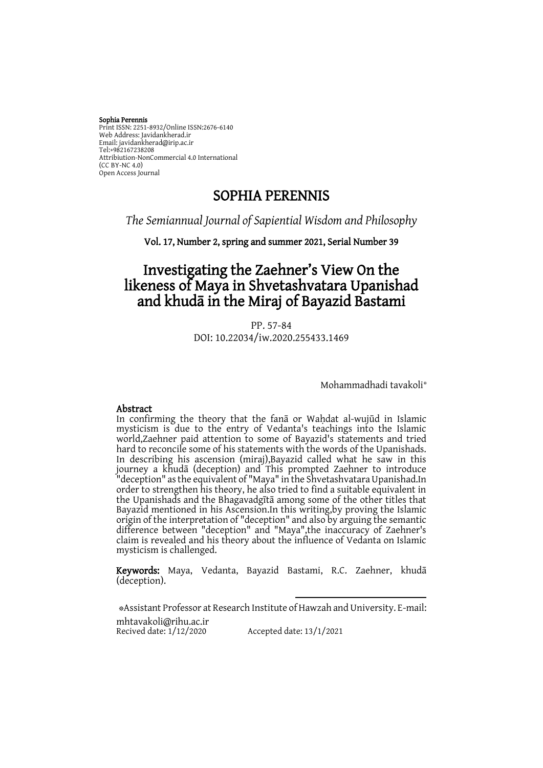#### Sophia Perennis Print ISSN: 2251-8932/Online ISSN:2676-6140 Web Address: Javidankherad.ir Email[: javidankherad@irip.ac.ir](mailto:javidankherad@irip.ac.ir) [Tel:+982167238208](tel:+982167238208) Attribiution-NonCommercial 4.0 International (CC BY-NC 4.0) Open Access Journal

# SOPHIA PERENNIS

# *The Semiannual Journal of Sapiential Wisdom and Philosophy*

Vol. 17, Number 2, spring and summer 2021, Serial Number 39

# Investigating the Zaehner's View On the likeness of Maya in Shvetashvatara Upanishad and khudā in the Miraj of Bayazid Bastami

PP. 57-84 DOI: 10.22034/iw.2020.255433.1469

Mohammadhadi tavakoli\*

### Abstract

In confirming the theory that the fana or Wahdat al-wujūd in Islamic mysticism is due to the entry of Vedanta's teachings into the Islamic world,Zaehner paid attention to some of Bayazid's statements and tried hard to reconcile some of his statements with the words of the Upanishads. In describing his ascension (miraj),Bayazid called what he saw in this journey a khudā (deception) and This prompted Zaehner to introduce "deception" as the equivalent of "Maya" in the Shvetashvatara Upanishad.In order to strengthen his theory, he also tried to find a suitable equivalent in the Upanishads and the Bhagavadgītā among some of the other titles that Bayazid mentioned in his Ascension.In this writing,by proving the Islamic origin of the interpretation of "deception" and also by arguing the semantic difference between "deception" and "Maya",the inaccuracy of Zaehner's claim is revealed and his theory about the influence of Vedanta on Islamic mysticism is challenged.

Keywords: Maya, Vedanta, Bayazid Bastami, R.C. Zaehner, khudā (deception).

 $\overline{\phantom{a}}$ 

\*Assistant Professor at Research Institute of Hawzah and University. E-mail: [mhtavakoli@rihu.ac.ir](mailto:mhtavakoli@rihu.ac.ir) Recived date: 1/12/2020 Accepted date: 13/1/2021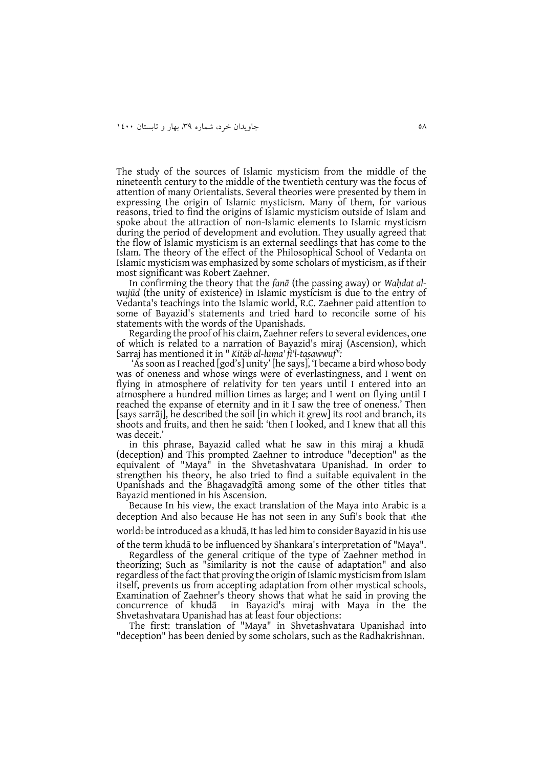The study of the sources of Islamic mysticism from the middle of the nineteenth century to the middle of the twentieth century was the focus of attention of many Orientalists. Several theories were presented by them in expressing the origin of Islamic mysticism. Many of them, for various reasons, tried to find the origins of Islamic mysticism outside of Islam and spoke about the attraction of non-Islamic elements to Islamic mysticism during the period of development and evolution. They usually agreed that the flow of Islamic mysticism is an external seedlings that has come to the Islam. The theory of the effect of the Philosophical School of Vedanta on Islamic mysticism was emphasized by some scholars of mysticism, as if their most significant was Robert Zaehner.

In confirming the theory that the *fanā* (the passing away) or *Waḥdat alwujūd* (the unity of existence) in Islamic mysticism is due to the entry of Vedanta's teachings into the Islamic world, R.C. Zaehner paid attention to some of Bayazid's statements and tried hard to reconcile some of his statements with the words of the Upanishads.

Regarding the proof of his claim, Zaehner refers to several evidences, one of which is related to a narration of Bayazid's miraj (Ascension), which Sarraj has mentioned it in " *Kitāb al-luma' fi'l-taṣawwuf":*

'As soon as I reached [god's] unity' [he says], 'I became a bird whoso body was of oneness and whose wings were of everlastingness, and I went on flying in atmosphere of relativity for ten years until I entered into an atmosphere a hundred million times as large; and I went on flying until I reached the expanse of eternity and in it I saw the tree of oneness.' Then [says sarrāj], he described the soil [in which it grew] its root and branch, its shoots and fruits, and then he said: 'then I looked, and I knew that all this was deceit.'

in this phrase, Bayazid called what he saw in this miraj a khudā (deception) and This prompted Zaehner to introduce "deception" as the equivalent of "Maya" in the Shvetashvatara Upanishad. In order to strengthen his theory, he also tried to find a suitable equivalent in the Upanishads and the Bhagavadgītā among some of the other titles that Bayazid mentioned in his Ascension.

Because In his view, the exact translation of the Maya into Arabic is a deception And also because He has not seen in any Sufi's book that »the

world» be introduced as a khudā, It has led him to consider Bayazid in his use

of the term khudā to be influenced by Shankara's interpretation of "Maya". Regardless of the general critique of the type of Zaehner method in theorizing; Such as "similarity is not the cause of adaptation" and also regardless of the fact that proving the origin of Islamic mysticism from Islam itself, prevents us from accepting adaptation from other mystical schools, Examination of Zaehner's theory shows that what he said in proving the concurrence of khuda in Bayazid's miraj with Maya in the the in Bayazid's miraj with Maya in the the Shvetashvatara Upanishad has at least four objections:

The first: translation of "Maya" in Shvetashvatara Upanishad into "deception" has been denied by some scholars, such as the Radhakrishnan.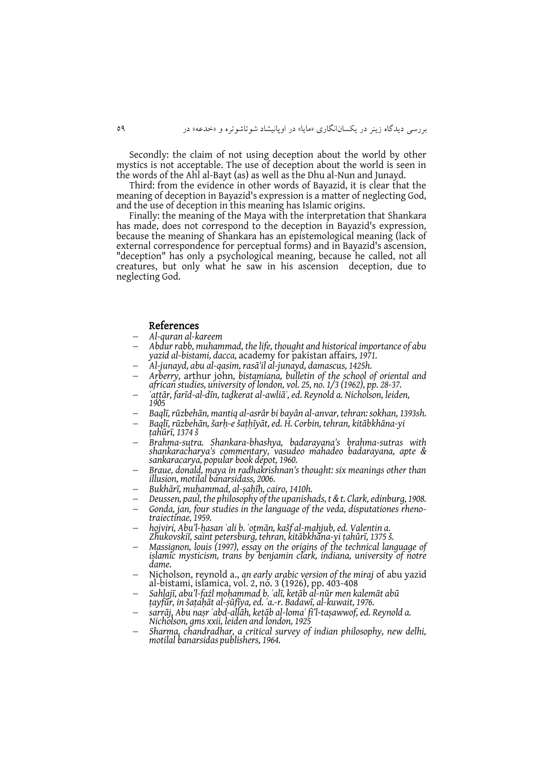Secondly: the claim of not using deception about the world by other mystics is not acceptable. The use of deception about the world is seen in the words of the Ahl al-Bayt (as) as well as the Dhu al-Nun and Junayd.

Third: from the evidence in other words of Bayazid, it is clear that the meaning of deception in Bayazid's expression is a matter of neglecting God, and the use of deception in this meaning has Islamic origins.

Finally: the meaning of the Maya with the interpretation that Shankara has made, does not correspond to the deception in Bayazid's expression, because the meaning of Shankara has an epistemological meaning (lack of external correspondence for perceptual forms) and in Bayazid's ascension, "deception" has only a psychological meaning, because he called, not all creatures, but only what he saw in his ascension deception, due to neglecting God.

#### References

- *Al-quran al-kareem*
- *Abdur rabb, muhammad, the life, thought and historical importance of abu yazid al-bistami, dacca,* academy for pakistan affairs*, 1971.*
- *Al-junayd, abu al-qasim, rasā'il al-junayd, damascus, 1425h.*
- *Arberry,* arthur john*, bistamiana, bulletin of the school of oriental and african studies, university of london, vol. 25, no. 1/3 (1962), pp. 28-37.*
- *ʿaṭṭār, farīd-al-dīn, taḏkerat al-awliāʾ, ed. Reynold a. Nicholson, leiden, 1905*
- *Baqlī, rūzbehān, mantiq al-asrâr bi bayân al-anvar, tehran: sokhan, 1393sh.*
- *Baqlī, rūzbehān, šarḥ-e šaṭḥīyāt, ed. H. Corbin, tehran, kitābkhāna-yi ṭahūrī, 1374 š*
- *Brahma-sutra. Shankara-bhashya, badarayana's brahma-sutras with shankaracharya's commentary, vasudeo mahadeo badarayana, apte & sankaracarya, popular book depot, 1960.*
- *Braue, donald, maya in radhakrishnan's thought: six meanings other than illusion, motilal banarsidass, 2006.*
- *Bukhārī, muḥammad, al-ṣaḥīḥ, cairo, 1410h.*
- *Deussen, paul, the philosophy of the upanishads, t & t. Clark, edinburg, 1908.*
- *Gonda, jan, four studies in the language of the veda, disputationes rhenotraiectinae, 1959.*
- *hojviri, Abu'l-ḥasan ʿali b. ʿoṯmān, kašf al-maḥjub, ed. Valentin a. Zhukovskiĭ, saint petersburg, tehran, kitābkhāna-yi ṭahūrī, 1375 š.*
- *Massignon, louis (1997), essay on the origins of the technical language of islamic mysticism, trans by benjamin clark, indiana, university of notre dame.*
- Nicholson, reynold a., *an early arabic version of the miraj* of abu yazid al-bistami, islamica, vol. 2, no. 3 (1926), pp. 403-408
- *Sahlajī, abu'l-fażl moḥammad b. ʿalī, ketāb al-nūr men kalemāt abū ṭayfūr, in šaṭaḥāt al-ṣūfīya, ed. ʿa.-r. Badawī, al-kuwait, 1976.*
- *sarrāj, Abu naṣr ʿabd-allāh, ketāb al-lomaʿ fi'l-taṣawwof, ed. Reynold a. Nicholson, gms xxii, leiden and london, 1925*
- *Sharma, chandradhar, a critical survey of indian philosophy, new delhi, motilal banarsidas publishers, 1964.*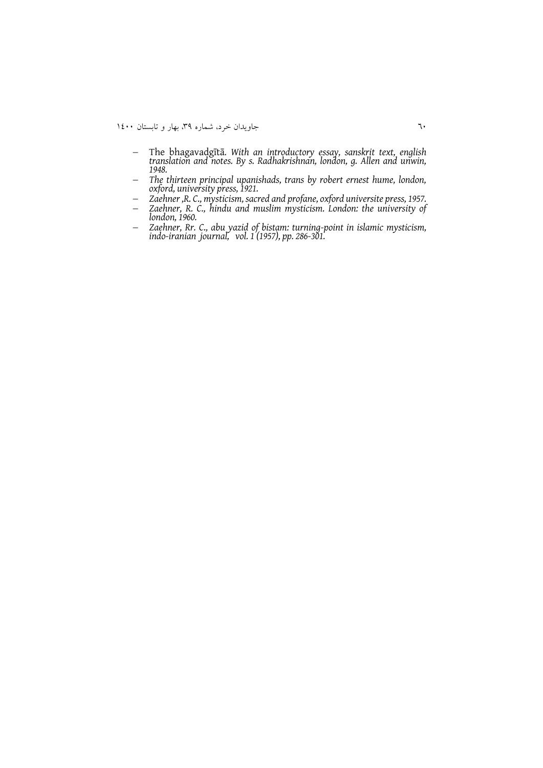- The bhagavadgītā*. With an introductory essay, sanskrit text, english translation and notes. By s. Radhakrishnan, london, g. Allen and unwin, 1948.*
- *The thirteen principal upanishads, trans by robert ernest hume, london, oxford, university press, 1921.*
- *Zaehner ,R. C., mysticism, sacred and profane, oxford universite press, 1957.*
- *Zaehner, R. C., hindu and muslim mysticism. London: the university of london, 1960.*
- *Zaehner, Rr. C., abu yazid of bistam: turning-point in islamic mysticism, indo-iranian journal, vol. 1 (1957), pp. 286-301.*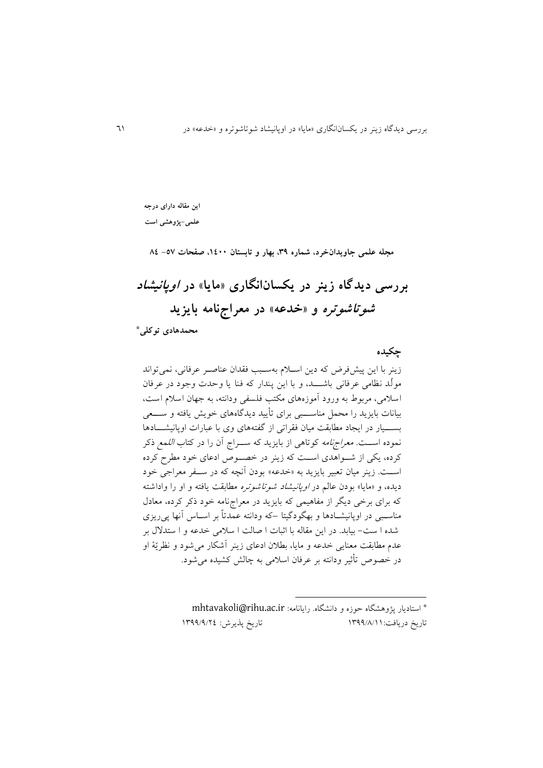**این مقاله دارای درجه علمی-پژوهشی است**

**مجله علمی جاویدانخرد، شماره ،93 بهار و تابستان ،0011 صفحات -75 40**

**بررسی دیدگاه زینر در یکسانانگاری »مایا« در اوپانیشاد شوتاشوتره و »خدعه« در معراجنامه بایزید**

**محمدهادی توکلی\***

### **چکیده**

زينر با اين پيشفرر که دين اسلام بهسـبب فقدان عناصـر عرفاني، نمي تواند مولّد نظامی عرفانی باشــــد، و با اين پندار که فنا يا وحدت وجود در عرفان اسلامی، مربوط به ورود آموزههای مکتب فلسفی ودانته، به جهان اسلام است، بیانات بايزيد را محمل مناســبي برای تأييد ديدگاههای خويش يافته و ســـعی بســـیار در ایجاد مطابقت میان فقراتی از گفتههای وی با عبارات اوپانیشـــادها نموده اســت. *معراجنامه* کوتاهی از بايزيد که ســـراج آن را در کتاب *اللمع ذک*ر کرده، يکی از شـواهدی اسـت که زينر در خصـوص ادعای خود مطرح کرده اســت. زينر ميان تعبير بايزيد به «خدعه» بودن آنچه که در ســفر معراجی خود ديده، و «مايا» بودن عالم در *اوپانيشاد شوتاشوتره* مطابقت يافته و او را واداشته که برای برخی ديگر از مفاهيمی که بايزيد در معراجiامه خود ذکر کرده، معادل مناسبهی در اوپانیشــادها و بهگودگیتا –که ودانته عمدتاً بر اســاس آنها پیریزی شده ا ست- بیابد. در این مقاله با اثبات ا صالت ا سلامی خدعه و ا ستدلال بر عدم مطابقت معنايی خدعه و مايا، بطلان ادعای زينر آشکار می شود و نظريّهٔ او در خصوص تأثیر ودانته بر عرفان اسلامی به چالش کشیده می شود.

> استاديار پژوهشگاه وزه و دانشگاه رايانامه: [ir.ac.rihu@mhtavakoli](mailto:mhtavakoli@rihu.ac.ir)\* تاريخ دريافت:١٣٩٩/٨/١١ / ١٣٩٩/٨/١٢٤

 $\overline{\phantom{a}}$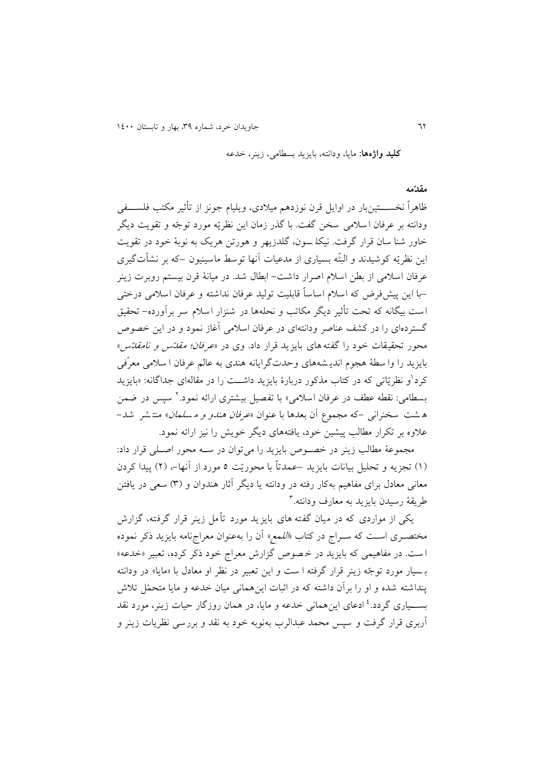**کلید واژهها:** مايا، ودانته، بايزيد بسقامی، زينر، خدعه

#### **مقدّمه**

ظاهراً نخســـــتین بار در اوايل قرن نوزدهم میلادی، ویلیام جونز از تأثیر مکتب فلســــفی ودانته بر عرفان اسلامی سخن گفت. با گذر زمان اين نظريّه مورد توجّه و تقويت ديگر خاور شنا سان قرار گرفت. نیکلـ سون، گلدزیهر و هورتن هریک به نوبهٔ خود در تقویت این نظریّه کوشیدند و البتّه بسیاری از مدعیات آنها توسط ماسینیون –که بر نشأتگیری عرفان اسلامی از بطن اسلام اصرار داشت– ابطال شد. در میانهٔ قرن بیستم روبرت زینر –با اين پیش فرض که اسلام اساساً قابلیت تولید عرفان نداشته و عرفان اسلامی درختی است بیگانه که تحت تأثیر دیگر مکاتب و نحلهها در شنزار اسلام سر برآورده- تحقیق گستردهای را در کشف عناصر ودانتهای در عرفان اسلامی آغاز نمود و در این خصوص محور تحقیقات خود را گفته های بايزيد قرار داد. وی در «*عرفان؛ مقائس و نامقائ*س» بايزيد را وا سطهٔ هجوم انديـشههای وحدتگرايانه هندی به عالم عرفان ا سلامی معرّفی کرد<sup>ا</sup>و نظریّاتی که در کتاب مذکور دربارهٔ بایزید داشـــت را در مقالهای جداگانه: «بایزید بسطامی: نقطه عطف در عرفان اسلامی» با تفصیل بیشتری ارائه نمود.<sup>۲</sup> سپس در ضمن ه شت سخنرانی -که مجموع آن بعدها با عنوان *«عرفان هندو و مسلمان*» منتشر شد-علاوه بر تکرار مطالب پیشین خود، يافتههای ديگر خويش را نیز ارائه نمود.

مجموعهٔ مطالب زينر در خصوص بايزيد را می توان در سـه محور اصـلی قرار داد: (۱) تجزيه و تحليل بيانات بايزيد –عمدتاً با محوريّت ٥ مورد از آنها–، (۲) پيدا کردن معانی معادل برای مفاهیم بهکار رفته در ودانته یا دیگر آثار هندوان و (۳) سعی در یافتن طريقة رسيدن بايزيد به معارف ودانته.<sup>۳</sup>

يکی از مواردی که در ميان گفته های بايزيد مورد تأمل زينر قرار گرفته، گزارش مختصـری اسـت که سـراج در کتاب *«اللمع»* آن را بهعنوان معراجنامه بايزيد ذکر نموده ا ست. در مفاهیمی که بایزید در خصوص گزارش معراج خود ذکر کرده، تعبیر «خدعه» بسیار مورد توجّه زینر قرار گرفته ا ست و این تعبیر در نظر او معادل با «مایا» در ودانته ينداشته شده و او را بر آن داشته که در اثبات اين همانی ميان خدعه و مايا متحمّل تلاش بســـیاری گردد.<sup>، ا</sup>ادعای اینهمانی خدعه و مایا، در همان روزگار حیات زینر، مورد نقد آربری قرار گرفت و سپس محمد عبدالرب بهنوبه خود به نقد و بررسی نظریات زینر و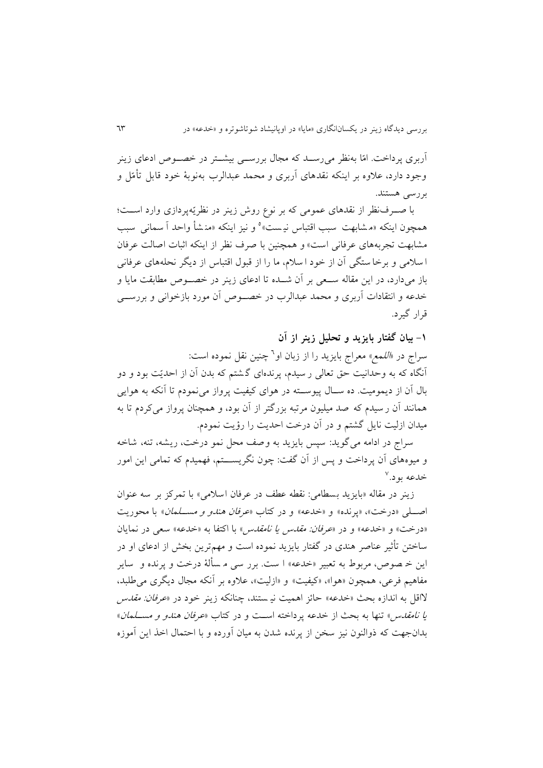آربری پرداخت. امّا بهنظر می رســد که مجال بررســی بیشــتر در خصــوص ادعای زينر وجود دارد، علاوه بر اينکه نقدهای آربری و محمد عبدالرب بهنوبهٔ خود قابل تأمّل و بررسی هستند

با صـرفنظر از نقدهای عمومی که بر نوع روش زينر در نظريّهپردازی وارد اسـت؛ همچون اینکه «مشابهت سبب اقتباس نیست» و نیز اینکه «مذشأ واحد أ سمانی سبب مشابهت تجربههای عرفانی است» و همچنین با صرف نظر از اینکه اثبات اصالت عرفان ا سلامی و برخا ستگی آن از خود ا سلام، ما را از قبول اقتباس از دیگر نحلههای عرفانی باز میدارد، در اين مقاله سـعی بر آن شــده تا ادعای زينر در خصــوص مطابقت مايا و خدعه و انتقادات آربری و محمد عبدالرب در خصـوص آن مورد بازخوانی و بررســی قرار گیرد

**-0 بیان گفتار بایزید و تحلیل زینر از آن** سراج در *«اللمع*» معراج بایزید را از زبان او<sup>7</sup> چنین نقل نموده است: آنگاه که به وحدانیت حق تعالی ر سیدم، پرندهای گشتم که بدن آن از احدیّت بود و دو بال آن از ديموميت. ده ســال پیوســته در هوای کیفیت پرواز می نمودم تا آنکه به هوايی همانند آن ر سیدم که صد میلیون مرتبه بزرگتر از آن بود، و همچنان پرواز می کردم تا به میدان ازلیت نايل گشتم و در آن درخت ا ديت را رؤيت نمودب

سراج در ادامه می گويد: سپس بايزيد به و صف محل نمو درخت، ريشه، تنه، شاخه و میوههای آن پرداخت و پس از آن گفت: چون نگريسالالالتم، فهمیدب که تمامی اين امور خدعه بود.<sup>۷</sup>

زينر در مقاله «بايزيد بسطامي: نقطه عطف در عرفان اسلامي» با تمرکز بر سه عنوان اصلی «درخت»، «پرنده» و «خدعه» و در کتاب *«عرفان هندو و مسـلمان*» با محوريت «درخت» و «خدعه» و در *«عرفان: مقدس يا نامقدس*» با اکتفا به «خدعه» سعى در نمايان ساختن تأثیر عناصر هندی در گفتار بايزيد نموده است و مهمترين بخش از ادعای او در اين خـ صوص، مربوط به تعبير «خدعه» ا ست. برر سي مـ سألهٔ درخت و پرنده و ساير مفاهیم فرعی، همچون «هوا»، «کیفیت» و «ازلیت»، علاوه بر آنکه مجال دیگری می طلبد، لااقل به اندازه بحث «خدعه» حائز اهمیت نی ستند، چنانکه زینر خود در «*عرفان: مقدس* ي*ا نامقدس»* تنها به بحث از خدعه پرداخته است و در کتاب «*عرفان هندو و مســلمان*» بدانجهت که ذوالنون نیز سخن از پرنده شدن به میان آورده و با احتمال اخذ این آموزه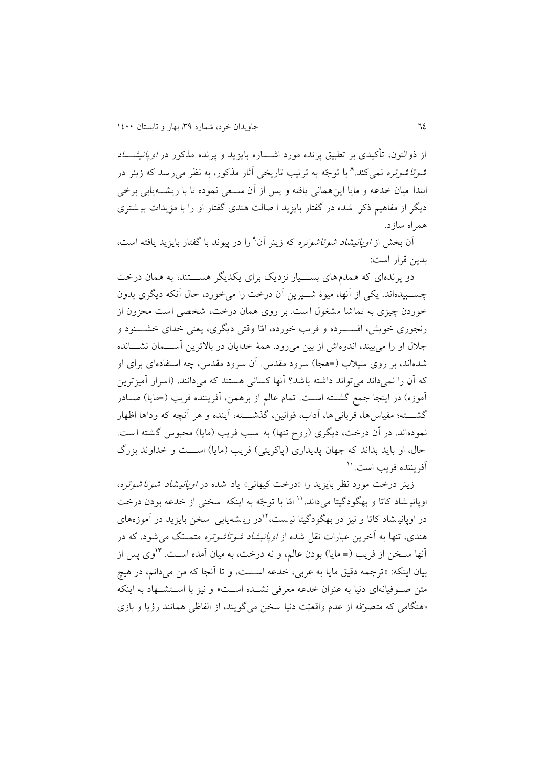از ذوالنون، تأکیدی بر تطبیق پرنده مورد اشـــاره بایزید و پرنده مذکور در *اوپانیشـــاد شوتا شوتره* نمیکند.^ با توجّه به ترتیب تاریخی آثار مذکور، به نظر میرسد که زینر در ابتدا میان خدعه و مايا اينهمانی يافته و پس از آن سـعی نموده تا با ريشـــه يابی برخی ديگر از مفاهيم ذکر ً شده در گفتار بايزيد ا صالت هندی گفتار او را با مؤيدات بی شتری همراه سازد

آن بخش از *اوپانیشاد شوتاشوتره* که زینر آن<sup>۹</sup> را در پیوند با گفتار بایزید یافته است، بدين قرار است:

دو پرندهای که همدم های بســـیار نزديک برای يکديگر هســـتند، به همان درخت چســـبيدهاند. يکي از آنها، ميوهٔ شـــيرين آن درخت را میِخورد، حال آنکه ديگری بدون خوردن چیزی به تماشا مشغول است بر روی همان درخت، شخصی است محزون از رنجوری خويش، افســــرده و فريب خورده، امّا وقتی ديگری، يعنی خدای خشــــنود و جلال او را میبیند، اندوهاش از بین میرود. همهٔ خدایان در بالاترین آســـمان نشـــانده شدهاند، بر روی سیلاب (=هجا) سرود مقدس أن سرود مقدس، چه استفادهای برای او که آن را نمی داند می تواند داشته باشد؟ آنها کسانی هستند که می دانند، (اسرار آمیز ترین آموزه) در اينجا جمع گشــته اســت. تمام عالم از برهمن، آفريننده فريب (=مايا) صــادر گشــــته؛ مقياس ها، قربانی ها، آداب، قوانين، گذشــــته، آينده و هر آنچه که وداها اظهار نمودهاند. در آن درخت، ديگرى (روح تنها) به سبب فريب (مايا) محبوس گشته است. حال، او بايد بداند که جهان پديداری (پاکريتی) فريب (مايا) اســـت و خداوند بزرگ آفريننده فريب است. ``

زينر درخت مورد نظر بايزيد را «درخت کیهانی» ياد شده در *اوپانیشاد شوتا شوتره*، اوپانیه شاد کاتا و بهگودگیتا می داند، ۱٬ امّا با توجّه به اینکه سخنی از خدعه بودن درخت در اوپانی شاد کاتا و نیز در بهگودگیتا نیست،<sup>۱۲</sup>در ریـ شهیابی سخن بایزید در آموزههای هندی، تنها به آخرين عبارات نقل شده از *اوپانیشاد شوتاشوتره* متمسّک می شود، که در وی پس از **<sup>09</sup>** آنها سالخن از فريف )= مايا( بودن عالم، و نه درخت، به میان آمده اسالت بیان اینکه: «ترجمه دقیق مایا به عربی، خدعه اســـت، و تا آنجا که من میدانم، در هیچ متن صوفیانهای دنیا به عنوان خدعه معرفی نشــده اسـت» و نیز با اســتشــهاد به اینکه «هنگامی که متصوّفه از عدم واقعیّت دنیا سخن می گویند، از الفاظی همانند رؤیا و بازی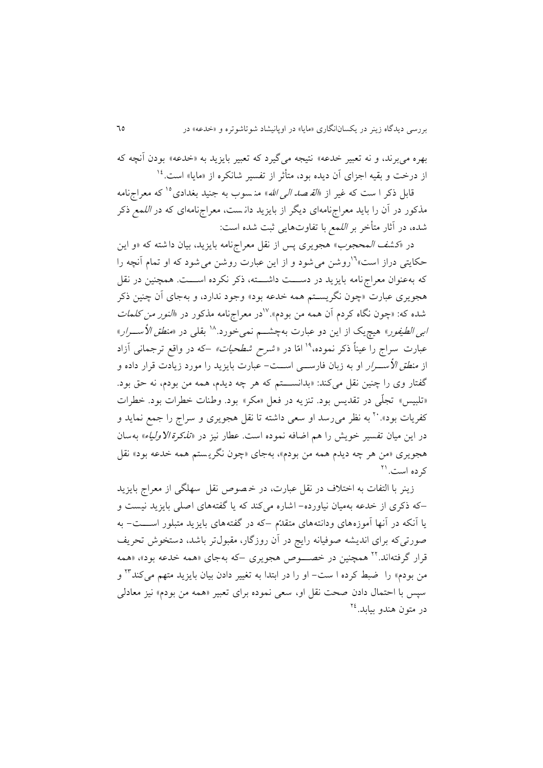بهره می برند، و نه تعبیر خدعه» نتیجه می گیرد که تعبیر بایزید به «خدعه» بودن آنچه که از درخت و بقیه اجزای آن دیده بود، متأثر از تفسیر شانکره از «مایا» است.<sup>۱۶</sup>

قابل ذکر ا ست که غیر از *«القـصد الـی الله*» منـسوب به جنید بغدادی<sup>10</sup> که معراجنامه مذکور در آن را بايد معراجنامهای ديگر از بايزيد دانست، معراجنامهای که در *اللمع ذک*ر شده، در آثار متأخر بر *اللمع* با تفاوتهايی ثبت شده است:

در «کش*ف المحجوب*» هجویری پس از نقل معراجنامه بایزید، بیان داشته که «و این حکایتی دراز است»<sup>۱۶</sup>روشن می شود و از این عبارت روشن می شود که او تمام آنچه را که به عنوان معراج نامه بايزيد در دســـت داشــــته، ذکر نکرده اســـت. همچنين در نقل هجویری عبارت «چون نگریسـتم همه خدعه بود» وجود ندارد، و بهجای آن چنین ذکر شده که: «چون نگاه کردم آن همه من بودم».<sup>۱۷</sup>در معراجنامه مذکور در «*النور من کلمات ابی الطیفور*» هیچ<sub>ی</sub>ک از این دو عبارت بهچشـــم نمیخورد.<sup>۱۸</sup> بقلی در «*منطق الأســـرار*» عبارت سراج را عیناً ذکر نموده،<sup>۱۹</sup> امّا در *«شرح شطحیات»* –که در واقع ترجمانی آزاد از *منطق الأســـرار* او به زبان فارســـی اســـت- عبارت بايزيد را مورد زيادت قرار داده و گفتار وی را چنین نقل میکند: «بدانســـتم که هر چه دیدم، همه من بودم، نه حق بود. «تلبيس» تجلّي در تقديس بود. تنزيه در فعل «مکر» بود. وطنات خطرات بود. خطرات کفريات بود». `` به نظر می رسد او سعی داشته تا نقل هجويری و سراج را جمع نمايد و در اين ميان تفسير خويش را هم اضافه نموده است. عطار نيز در «ت*ذکرة الاولياء*» بهسان هجويري «من هر چه ديدم همه من بودم»، بهجاي «چون نگريستم همه خدعه بود» نقل کرده است.<sup>۲۱</sup>

زينر با التفات به اختلاف در نقل عبارت، در خـصوص نقل سهلگی از معراج بايزيد –که ذکری از خدعه بهمیان نیاورده- اشاره می کند که يا گفتههای ا لی بايزيد نیست و يا آنکه در آنها آموزههای ودانتههای متقدّم –که در گفتههای بايزيد متبلور اســـت- به صورتی که برای انديشه صوفيانه رايج در آن روزگار، مقبول تر باشد، دستخوش تحريف قرار گرفتهاند.<sup>۲۲</sup> همچنین در خصــــوص هجویری –که بهجای «همه خدعه بود»، «همه من بودم» را ضبط کرده ا ست– او را در ابتدا به تغییر دادن بیان بایزید متهم میکند™ و سپس با احتمال دادن صحت نقل او، سعی نموده برای تعبیر «همه من بودم» نیز معادلی در متون هندو بیابد.<sup>۲٤</sup>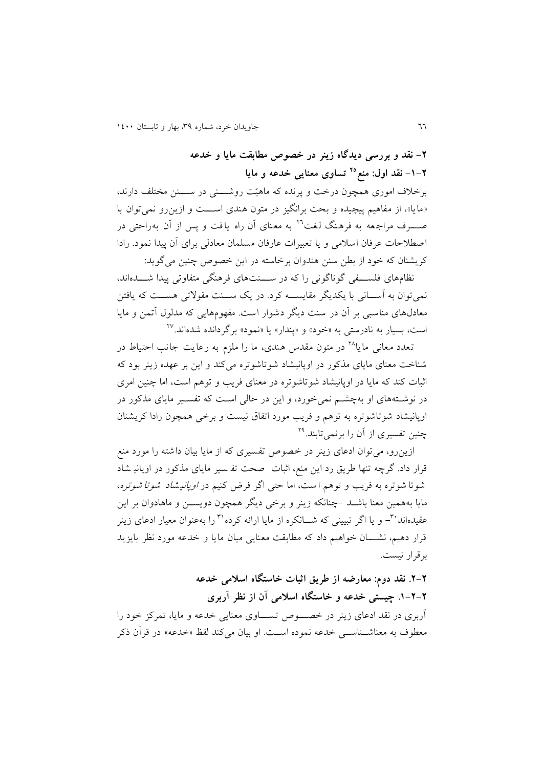**-2 نقد و بررسی دیدگاه زینر در خصوص مطابقت مایا و خدعه -0-2 نقد اول: منع تساوی معنایی خدعه و مایا <sup>27</sup>**

برخلاف اموری همچون درخت و پرنده که ماهیّت روشـــنی در ســـنن مختلف دارند، «مايا»، از مفاهيم پیچیده و بحث برانگیز در متون هندی اســـت و ازين رو نمی توان با صـــــــــــوف مراجعه به فرهنگ لغت™ به معنای آن راه یافت و پس از آن بهراحتی در اصطلاحات عرفان اسلامی و یا تعبیرات عارفان مسلمان معادلی برای آن پیدا نمود. رادا کريشنان که خود از بطن سنن هندوان برخاسته در اين خصوص چنين می گويد:

نظامهای فلســـفی گوناگونی را که در ســـنتهای فرهنگی متفاوتی پیدا شـــدهاند، نمی توان به آســانی با يکديگر مقايســـه کرد. در يک ســـنت مقولاتی هســـت که يافتن معادلهای مناسبی بر آن در سنت ديگر دشوار است. مفهومهايی که مدلول آتمن و مايا ست، بسیار به نادرستی به «خود» و «پندار» یا «نمود» برگردانده شدهاند.<sup>۲۷</sup>

تعدد معانی ما یا<sup>۲۸</sup> در متون مقدس هندی، ما را ملزم به رعایت جانب احتیاط در شناخت معنای مايای مذکور در اوپانيشاد شوتاشوتره می کند و اين بر عهده زينر بود که اثبات کند که مايا در اوپانيشاد شوتاشوتره در معنای فريب و توهم است، اما چنين امری در نوشـتههای او بهچشـم نمی خورد، و اين در حالی اسـت که تفسـير مايای مذکور در اوپانیشاد شوتاشوتره به توهم و فريف مورد اتفاق نیست و برخی همچون رادا کريشنان چنین تفسیری از آن را برنمیتابند.<sup>۲۹</sup>

ازينرو، می توان ادعای زينر در خصوص تفسیری که از مايا بيان داشته را مورد منع قرار داد. گرچه تنها طريق رد اين منع، اثبات صحت تف سير مايای مذکور در اوپاني شاد شوتا شوتره به فريب و توهم ا ست، اما حتى اگر فرض کنیم در *اوپانیشاد شوتا شوتره*، مايا بههمين معنا باشــد –چنانکه زينر و برخی ديگر همچون دويســن و ماهادوان بر اين عقیدماند ب<sup>س</sup>– و یا اگر تبیینی که شـــانکره از مایا ارائه کرده <sup>۳۱</sup> را بهعنوان معیار ادعای زینر قرار دهیم، نشـــان خواهیم داد که مطابقت معنايی میان مايا و خدعه مورد نظر بايزيد برقرار نیست

**.2-2 نقد دوم: معارضه از طریق اثبات خاستگاه اسالمی خدعه .0-2-2 چیستی خدعه و خاستگاه اسالمی آن از نظر آربری** آربری در نقد ادعای زينر در خصــــوص تســــاوی معنايی خدعه و مايا، تمرکز خود را معطوف به معناشــناســی خدعه نموده اســت. او بیان می کند لفظ «خدعه» در قرآن ذکر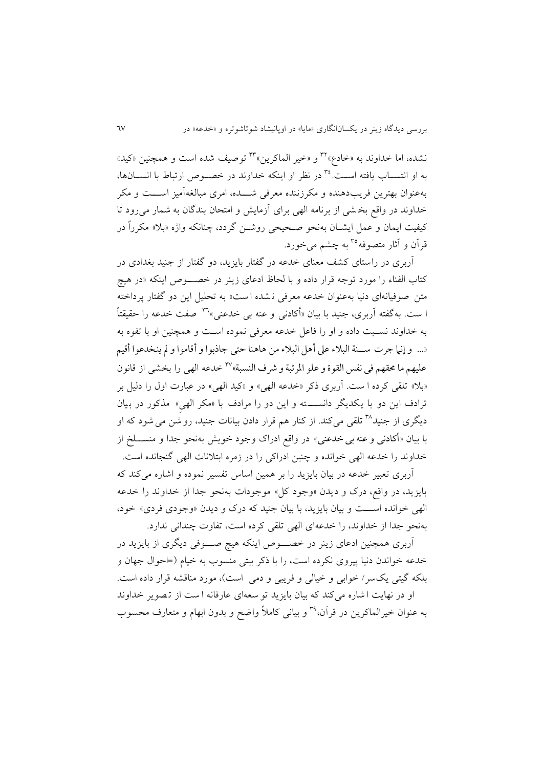نشده، اما خداوند به «خادع»<sup>۳۲</sup> و «خیر الماکرین»<sup>۳۳</sup> توصیف شده است و همچنین «کید» به او انتســاب يافته اســت. <sup>76</sup> در نظر او اينکه خداوند در خصــوص ارتباط با انســـانها، به عنوان بهترين فريب دهنده و مکرزننده معرفی شـــده، امری مبالغه آميز اســـت و مکر خداوند در واقع بخشی از برنامه الهی برای آزمايش و امتحان بندگان به شمار می رود تا کیفیت ایمان و عمل ایشــان به نحو صـحیحی روشــن گردد، چنانکه واژه «بلا» مکرراً در قرآن و آثار متصوفه°<sup>۳ </sup>به چشم می خورد.

آربری در راستای کشف معنای خدعه در گفتار بايزيد، دو گفتار از جنيد بغدادی در کتاب الفناء را مورد توجه قرار داده و با لحاظ ادعای زينر در خصـوص اينکه «در هيچ متن صوفیانه ای دنیا به عنوان خدعه معرفی نشده است» به تحلیل این دو گفتار پرداخته ا ست. به گفته آربری، جنید با بیان «أکادن<sub>ی</sub> و عنه بی خدعنی»<sup>۳٦</sup> صفت خدعه را حقیقتاً به خداوند نسبت داده و او را فاعل خدعه معرفی نموده است و همچنین او با تفوه به «... و إنها جرت ســـنة البلاء على أهل البلاء من هاهنا حتى جاذبوا و أقاموا و لم ينخدعوا أقيم عليهم ما محقهم في نفس القوة و علو المرتبة و شرف النسبة» ``` خدعه الهي را بخشبي از قانون «بلا» تلقی کرده ا ست. آربری ذکر «خدعه الهی» و «کید الهی» در عبارت اول را دلیل بر ترادف اين دو با يکديگر دانســـته و اين دو را مرادف با «مکر الهیِ» مذکور در بيان دیگری از جنید™ تلقی میکند. از کنار هم قرار دادن بیانات جنید، رو شن می شود که او با بيان «أكادنی و عنه بی خدعنی» در واقع ادراک وجود خويش بهنحو جدا و منســـلخ از خداوند را خدعه الهی خوانده و چنین ادراکی را در زمره ابتلائات الهی گنجانده است.

آربری تعبیر خدعه در بیان بایزید را بر همین اساس تفسیر نموده و اشاره می کند که بايزيد، در واقع، درک و ديدن «وجود کل» موجودات به نحو جدا از خداوند را خدعه الهی خوانده اسـت و بیان بايزيد، با بیان جنید که درک و ديدن «وجودی فردی» خود، بهنحو جدا از خداوند، را خدعهای الهی تلای کرده است، تفاوج چندانی ندارد

آربری همچنین ادعای زينر در خصــــوص اينکه هیچ صــــوفی ديگری از بايزيد در خدعه خواندن دنیا پیروی نکرده است، را با ذکر بیتی منسوب به خیام (=حوال جهان و بلکه گیتی یکسر/ خوابی و خیالی و فریبی و دمی است)، مورد مناقشه قرار داده است. او در نهايت ا شاره می کند که بيان بايزيد تو سعه ای عارفانه ا ست از تصوير خداوند به عنوان خیرالماکرین در قرآن،°۲ و بیانی کاملاً واضح و بدون ابهام و متعارف محسوب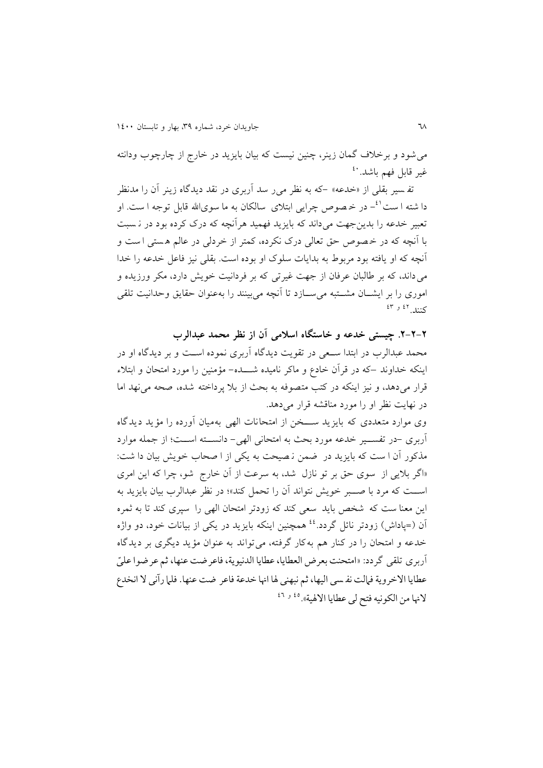می شود و برخلاف گمان زينر، چنين نيست که بيان بايزيد در خارج از چارچوب ودانته غیر قابل فهم باشد. <sup>٤٠</sup>

تف<sub>سیر</sub> بقلی از «خدعه» –که به نظر می ر سد آربری در نقد دیدگاه زینر آن را مدنظر دا شته ا ست<sup>٤١</sup>- در خـصوص چرايی ابتلای سالکان به ما سویالله قابل توجه ا ست. او تعبير خدعه را بدينجهت مي داند که بايزيد فهميد هرآنچه که درک کرده بود در نـسبت با آنچه که در خصوص حق تعالی درک نکرده، کمتر از خردلی در عالم هستی است و آنچه که او يافته بود مربوط به بداياج سلوک او بوده است بالی نیز فاعل خدعه را خدا می داند، که بر طالبان عرفان از جهت غیرتی که بر فردانیت خویش دارد، مکر ورزیده و اموری را بر ایشــان مشــتبه می ســازد تا آنچه می بینند را بهعنوان حقایق وحدانیت تلقی کنند.<sup>31 و ٤٣</sup>

**.2-2-2 چیستی خدعه و خاستگاه اسالمی آن از نظر محمد عبدالرب** محمد عبدالرب در ابتدا سعی در تقويت ديدگاه آربری نموده است و بر ديدگاه او در اینکه خداوند –که در قرآن خادع و ماکر نامیده شـــده- مؤمنین را مورد امتحان و ابتلاء قرار میدهد، و نیز اینکه در کتب متصوفه به بحث از بلا پرداخته شده، صحه می نهد اما در نهايت نظر او را مورد مناقشه قرار میدهد

وی موارد متعددی که بايزيد ســـخن از امتحانات الهی بهميان آورده را مؤيد ديدگاه آربری -در تفسالالیر خدعه مورد بحث به امتحانی الهی- دانسالالته اسالالت؛ از جمله موارد مذکور آن ا ست که بايزيد در ضمن نصيحت به يکی از ا صحاب خويش بيان دا شت: «اگر بلايي از سوی حق بر تو نازل شد، به سرعت از آن خارج شو، چرا که اين امری اســت که مرد با صـــبر خويش نتواند آن را تحمل کند»؛ در نظر عبدالرب بيان بايزيد به اين معنا ست که شخص بايد سعى کند که زودتر امتحان الهى را سپرى کند تا به ثمره آن (=پاداش) زودتر نائل گردد.<sup>٤٤</sup> همچنین اینکه بایزید در یکی از بیانات خود، دو واژه خدعه و امتحان را در کنار هم به کار گرفته، می تواند به عنوان مؤيد ديگری بر ديدگاه أربري تلقى گردد: «امتحنت بعرض العطايا، عطايا الدنيوية، فاعرضت عنها، ثم عرضوا عليّ عطايا الاخروية فإلت نفسي اليها، ثم نبهني لها انها خدعة فاعر ضت عنها. فلما رآني لا انخدع لانها من الکونيه فتح لي عطايا الالهية». <sup>٤٥ و ٤٦</sup>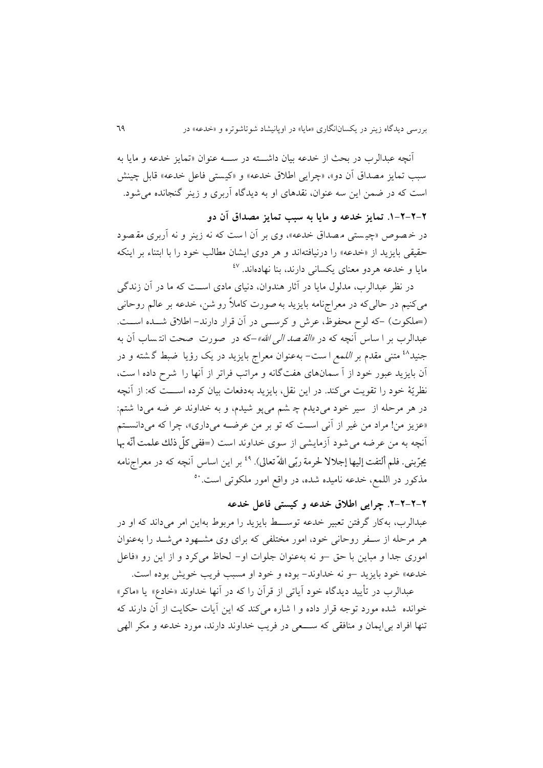آنچه عبدالرب در بحث از خدعه بیان داشته در ســـه عنوان «تمايز خدعه و مايا به سبب تمايز مصداق آن دو»، «چرايي اطلاق خدعه» و «کیستی فاعل خدعه» قابل چینش است که در ضمن اين سه عنوان، نقدهای او به ديدگاه آربری و زينر گنجانده می شود.

# **.0-2-2-2 تمایز خدعه و مایا به سبب تمایز مصداق آن دو**

در خصوص «چیستی مصداق خدعه»، وی بر آن است که نه زینر و نه آربری مقصود حقيقى بايزيد از «خدعه» را درنيافتهاند و هر دوی ايشان مطالب خود را با ابتناء بر اينکه مایا و خدعه هردو معنای یکسانی دارند، بنا نهادهاند. <sup>٤٧</sup>

در نظر عبدالر ب، مدلول مایا در آثار هندوان، دنیای مادی است که ما در آن زندگی میکنیم در حالیکه در معراجنامه بايزيد به صورت کاملاً رو شن، خدعه بر عالم روحانی (=ملکوت) -که لوح محفوظ، عرش و کرسے در آن قرار دارند- اطلاق شـده اسـت. عبدالرب بر ا ساس آنچه که در *«القصد الی الله»–ک*ه در صورت صحت انت**ساب آن به** جنید<sup>۶۸</sup> متنی مقدم بر *اللمع ا ست– بهعنوان معراج بایزید در یک رؤیا ضبط گشته و در* آن بايزيد عبور خود از آ سمان های هفتگانه و مراتب فراتر از آنها را شرح داده ا ست، نظريّة خود را تقويت میکند. در اين نقل، بايزيد بهدفعات بيان کرده اســـت که: از آنچه در هر مرحله از سیر خود می دیدم چ شم می پو شیدم، و به خداوند عر ضه می دا شتم: «عزيز من! مراد من غير از آني است که تو بر من عرضـه میداری»، چرا که میدانسـتم آنچه به من عرضه می شود آزمایشی از سوی خداوند است (=ففی کلّ ذلك علمت أنّه بها یجرّبنی. فلم ألتفت إلیها إجلالا لحرمة ربّی اللهّ تعالی). <sup>٤٩</sup> بر این اساس آنچه که در معراجiامه ز 81 مذکور در اللمع، خدعه نامیده شده، در واقع امور ملکوتی است

## **.2-2-2-2 چرایی اطالق خدعه و کیستی فاعل خدعه**

عبدالرب، به کار گرفتن تعبير خدعه توسـط بايزيد را مربوط بهاين امر میداند که او در هر مرحله از سـفر روحانی خود، امور مختلفی که برای وی مشـهود می شـد را بهعنوان اموری جدا و مباين با حق –و نه به عنوان جلوات او- لحاظ می کرد و از اين رو «فاعل خدعه» خود بايزيد –و نه خداوند- بوده و خود او مسبب فريب خويش بوده است.

عبدالرب در تأييد ديدگاه خود آياتی از قرآن را که در آنها خداوند «خادع» يا «ماکر» خوانده شده مورد توجه قرار داده و ا شاره می کند که اين آيات حکايت از آن دارند که تنها افراد بی ايمان و منافقی که ســـعی در فريب خداوند دارند، مورد خدعه و مکر الهی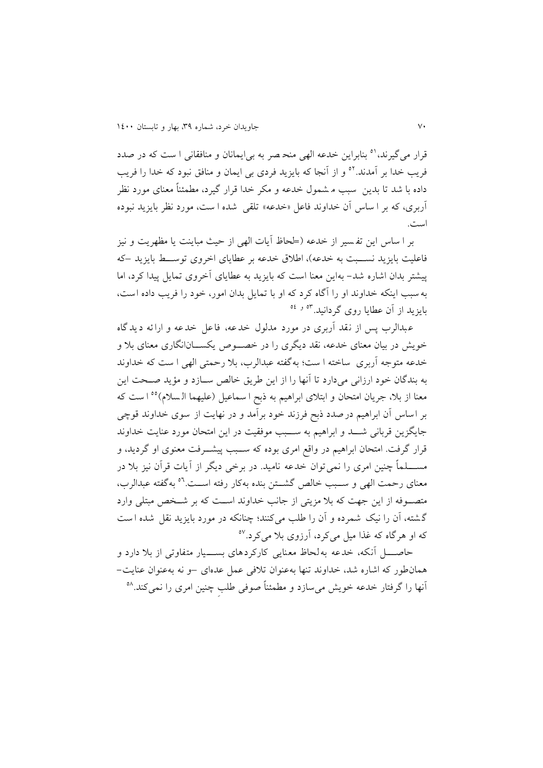قرار می گیرند، <sup>۵۱</sup> بنابراین خدعه الهی منح صر به بی ایمانان و منافقانی ا ست که در صدد فريب خدا بر آمدند."° و از آنجا که بايزيد فردی بی ايمان و منافق نبود که خدا را فريب داده با شد تا بدين ٍ سبب م شمول خدعه و مکر خدا قرار گیرد، مطمئناً معنای مورد نظر آربری، که بر ا ساس آن خداوند فاعل «خدعه» تلقی شده ا ست، مورد نظر بایزید نبوده است

بر ا ساس اين تفسير از خدعه (لححاظ آيات الهی از حيث مباينت يا مظهريت و نيز فاعليت بايزيد نسـبت به خدعه)، اطلاق خدعه بر عطايای اخروی توسـط بايزيد –که پیشتر بدان اشاره شد– بهاين معنا است که بايزيد به عطايای آخروی تمايل پيدا کرد، اما به سبب اينکه خداوند او را آگاه کرد که او با تمايل بدان امور، خود را فريب داده است، بايزيد از آن عطايا روی گردانيد.<sup>۵۴ و ۵۶</sup>

عبدالرب پس از نقد آربری در مورد مدلول خدعه، فاعل خدعه و ارائه ديدگاه خويش در بيان معنای خدعه، نقد ديگری را در خصـوص يکســـان|نگاری معنای بلا و خدعه متوجه آربری ساخته ا ست؛ به گفته عبدالرب، بلا رحمتی الهی ا ست که خداوند به بندگان خود ارزانی میدارد تا آنها را از اين طريق خالص ســازد و مؤيد صــحت اين معنا از بلا، جريان امتحان و ابتلای ابراهیم به ذبح ا سماعیل (علیهما الـسلام)°° ا ست که بر اساس آن ابراهیم در صدد ذبح فرزند خود برآمد و در نهایت از سوی خداوند قوچی جايگزين قربانی شــد و ابراهيم به ســبب موفقيت در اين امتحان مورد عنايت خداوند قرار گرفت. امتحان ابراهیم در واقع امری بوده که ســبب پیشـــرفت معنوی او گردید، و مســـــــــلماً چنین امری را نمی توان خدعه نامید. در برخی دیگر از آیات قرآن نیز بلا در معنای رحمت الهی و سـبب خالص گشــتن بنده بهکار رفته اســت.<sup>٥٦</sup> بهگفته عبدالرب، متصـوفه از اين جهت که بلا مزيتی از جانب خداوند اسـت که بر شـخص مبتلی وارد گشته، آن را نیک شمرده و آن را طلب میکنند؛ چنانکه در مورد بایزید نقل شده است که او هرگاه که غذا میل میکرد، آرزوی بلا میکرد.<sup>۵۷</sup>

 ا الالالل آنکه، خدعه به لحاظ م نايی کارکردهای بسالالالیار متفاوتی از ب دارد و همانطور که اشاره شد، خداوند تنها به عنوان ت فی عمل عدهای –و نه بهعنوان عنايت- آنها را گرفتار خدعه خویش میسازد و مطمئناً صوفی طلبِ چنین امری را نمیکند.<sup>۵۸</sup>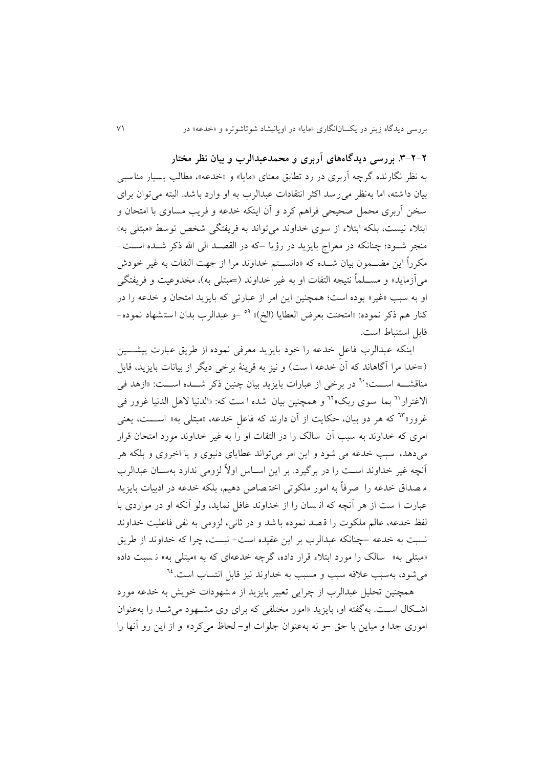**.9-2-2 بررسی دیدگاههای آربری و محمدعبدالرب و بیان نظر مختار** به نظر نگارنده گرچه آربری در رد تطابق معنای «مایا» و «خدعه»، مطالب بسیار مناسبی بیان داشته، اما به نظر می رسد اکثر انتقادات عبدالرب به او وارد باشد. البته می توان برای سخن آربری محمل صحیحی فراهم کرد و آن اینکه خدعه و فریب مساوی با امتحان و ابتلاء نیست، بلکه ابتلاء از سوی خداوند می تواند به فریفتگی شخص توسط «مبتلی به» منجر شـود؛ چنانکه در معراج بايزيد در رؤيا –که در القصـد الی الله ذکر شـده اسـت– مکرراً این مضــمون بیان شــده که «دانســتم خداوند مرا از جهت التفات به غیر خودش میآزمايد» و مســـلماً نتیجه التفات او به غیر خداوند (=مبتلی به)، مخدوعیت و فريفتگی او به سبب «غیر» بوده است؛ همچنین این امر از عبارتی که بایزید امتحان و خدعه را در كنار هم ذكر نموده: «امتحنت بعرض العطايا (الخ)» <sup>٥٩</sup> –و عبدالرب بدان استشهاد نموده– قابل استنباط است.

اينکه عبدالرب فاعلِ خدعه را خود بايزيد معرفی نموده از طريق عبارت پیشـــين )=خدا مرا آگاهاند که آن خدعه ا ست( و نیز به قرينة برخی ديگر از بیاناج بايزيد، قابل مناقشـــه اســـت؛ `` در برخی از عبارات بايزيد بيان چنين ذکر شـــده اســـت: «ازهد في الاغترار <sup>٦٦</sup> بما سوی ربک» <sup>٦٢</sup> و همچنین بیان شده ا ست که: «الدنیا لاهل الدنیا غرور فی غرور»<sup>٦٣</sup> که هر دو بيان، حکايت از آن دارند که فاعل خدعه، «مبتل<sub>ّی</sub> به» اســـت، يعنی امری که خداوند به سبب آن سالک را در التفات او را به غیر خداوند مورد امتحان قرار می دهد، سبب خدعه می شود و اين امر می تواند عطايای دنيوی و يا اخروی و بلکه هر آنچه غیر خداوند است را در برگیرد. بر این اسـاس اولاً لزومی ندارد بهسـان عبدالرب م صداق خدعه را صرفاً به امور ملکوتی اختصاص دهیم، بلکه خدعه در ادبیات بایزید عبارت ا ست از هر آنچه که از سان را از خداوند غافل نمايد، ولو آنکه او در مواردی با لفظ خدعه، عالم ملکوج را ق صد نموده با شد و در ثانی، لزومی به نفی فاعلیت خداوند نسبت به خدعه –چنانکه عبدالرب بر این عقیده است– نیست، چرا که خداوند از طریق «مبتلی به» سالک را مورد ابتلاء قرار داده، گرچه خدعهای که به «مبتلی به» نـ سبت داده میشود، بهسبب علاقه سبب و مسبب به خداوند نیز قابل انتساب است.<sup>٦٤</sup>

همچنین تحلیل عبدالرب از چرايی تعبير بايزيد از مشهودات خويش به خدعه مورد اشکال است. بهگفته او، بايزيد «امور مختلفی که برای وی مشهود می شد را بهعنوان اموری جدا و مباين با حق -و نه بهعنوان جلوات او- لحاظ میکرد» و از اين رو آنها را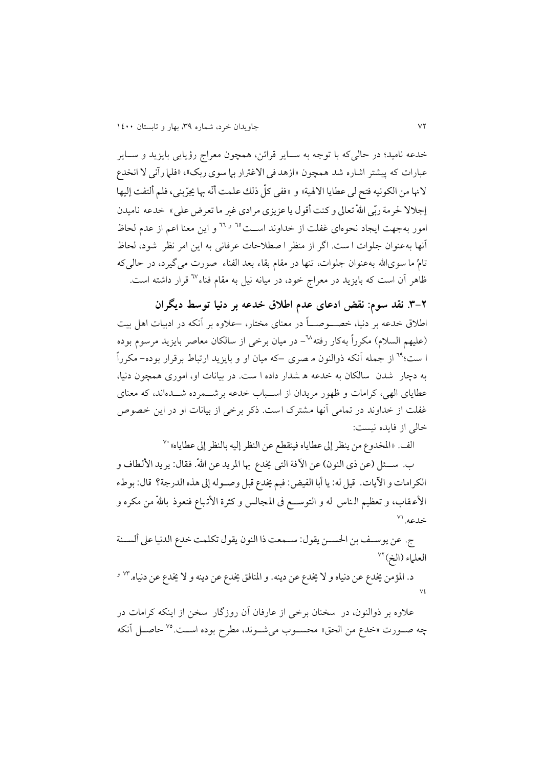خدعه نامید؛ در حالیکه با توجه به ســایر قرائن، همچون معراج رؤیایی بایزید و ســایر عبارات که پیشتر اشاره شد همچون «ازهد فی الاغترار بپا سوی ربک»، «فلما رآنی لا انخدع لانها من الکونيه فتح لي عطايا الالهية» و «ففي کلّ ذلك علمت أنّه بها يجرّبني، فلم ألتفت إليها إجلالا لحرمة ربّی اللهّ تعالی و کنت أقول يا عزيزی مرادی غير ما تعرض علي» خدعه ناميدن امور بهجهت ايجاد نحوهای غفلت از خداوند اســت<sup>٦٥ و ٢٦</sup> و اين معنا اعم از عدم لحاظ آنها به عنوان جلوات ا ست. اگر از منظر ا صطلاحات عرفانی به اين امر نظر شود، لحاظ تامِّ ما سویالله بهعنوان جلوات، تنها در مقام بقاء بعد الفناء صورت می گیرد، در حالی که ظاهر آن است که بايزيد در معراج خود، در ميانه نيل به مقام فناء<sup>٦٧</sup> قرار داشته است.

**.9-2 نقد سوم: نقض ادعای عدم اطالق خدعه بر دنیا توسط دیگران**  اطلاق خدعه بر دنیا، خصـــوصــــاً در معنای مختار، –علاوه بر آنکه در ادبیات اهل بیت (علیهم السلام) مکرراً بهکار رفته $^{-N}$ - در میان برخی از سالکان معاصر بایزید مرسوم بوده ا ست؛<sup>٦٩</sup> از جمله آنکه ذوالنون م صری –که میان او و بایزید ارتباط برقرار بوده– مکرراً به دچار شدن سالکان به خدعه ه شدار داده ا ست در بیاناج او، اموری همچون دنیا، عطايای الهی، کرامات و ظهور مريدان از اســباب خدعه برشـــمرده شـــدهاند، که معنای غفلت از خداوند در تمامی آنها مشترک است. ذکر برخی از بیانات او در این خصوص خالی از فايده نیست:

الف. «المخدوع من ينظر إلى عطاياه فينقطع عن النظر إليه بالنظر إلى عطاياه» ``

ب. ســئل (عن ذي النون) عن الآفة التي يخدع بها المريد عن اللهّ. فقال: يريد الألطاف و الكرامات و الآيات. قيل له: يا أبا الفيض: فبم يخدع قبل وصـوله إلى هذه الدرجة؟ قال: بوطء الأعـقاب، و تعظیم الـناس له و التوســـع فی المـجالس و کثرة الأتـباع فنعوذ باللهّ من مکره و  $\sim$  خلاعه. $\sim$ 

ج. عن يوسـف بن الحســن يقول: ســمعت ذا النون يقول تكلمت خدع الدنيا على ألســنة العلهاء (الخ) <sup>٧٢</sup>

د. المؤمن يخدع عن دنياه و لا يخدع عن دينه. و المنافق يخدع عن دينه و لا يخدع عن دنياه. <sup>٧٣ و</sup>  $\vee$ 

علاوه بر ذوالنون، در سخنان برخی از عارفان آن روزگار سخن از اینکه کرامات در چه صـورت «خدع من الحق» محسـوب میشـوند، مطرح بوده اسـت.<sup>۷۵</sup> حاصـل آنکه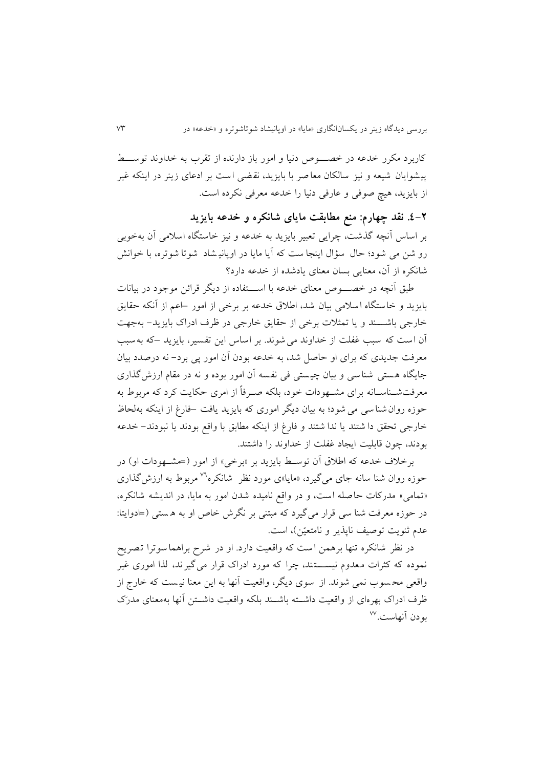کاربرد مکرر خدعه در خصــــوص دنیا و امور باز دارنده از تقرب به خداوند توســـط پیشوايان شیعه و نیز سالکان معاصر با بايزيد، نقضی است بر ادعای زينر در اينکه غير از بايزيد، هيچ صوفي و عارفي دنيا را خدعه معرفي نكرده است.

**.0-2 نقد چهارم: منع مطابقت مایای شانکره و خدعه بایزید** بر اساس آنچه گذشت، چرايی تعبير بايزيد به خدعه و نيز خاستگاه اسلامی آن بهخوبی رو شن می شود؛ حال سؤال اينجا ست که آيا مايا در اوپانيـشاد شوتا شوتره، با خوانش شانکره از آن، معنايی بسان معنای يادشده از خدعه دارد؟

طبق آنچه در خصـــــوص معنای خدعه با اســــتفاده از ديگر قرائن موجود در بيانات بايزيد و خاستگاه اسلامي بيان شد، اطلاق خدعه بر برخی از امور –اعم از آنکه حقايق خارجی باشـــند و يا تمثلات برخی از حقايق خارجی در ظرف ادراک بايزيد- بهجهت آن است که سبب غفلت از خداوند می شوند. بر اساس اين تفسير، بايزيد –که به سبب معرفت جدیدی که برای او حاصل شد، به خدعه بودن آن امور پی برد– نه درصدد بیان جایگاه هستی شناسی و بیان چیستی فی نفسه آن امور بوده و نه در مقام ارزش گذاری معرفتشــناســانه برای مشــهودات خود، بلکه صــرفاً از امری حکايت کرد که مربوط به وزه روانشناسی می شود؛ به بیان ديگر اموری که بايزيد يافت –فارغ از اينکه بهلحاظ خارجی تحقق دا شتند يا ندا شتند و فارغ از اينکه مطابق با واقع بودند يا نبودند– خدعه بودند، چون قابلیت ایجاد غفلت از خداوند را داشتند.

برخلاف خدعه که اطلاق آن توسط بايزيد بر «برخی» از امور (=مشــهودات او) در حوزه روان شنا سانه جای می گیرد، «مایا»ی مورد نظر شانکره<sup>۷</sup>۷ مربوط به ارزش گذاری «تمامی» مدرکات حاصله است، و در واقع نامیده شدن امور به مايا، در انديشه شانکره، در حوزه معرفت شنا سی قرار می گیرد که مبتنی بر نگرش خاص او به هستی (=ادوايتا: عدم ثنويت توصيف ناپذير و نامتعيّن)، است.

در نظر شانکره تنها برهمن است که واقعیت دارد. او در شرح براهما سوترا تصریح نموده که کثرات معدوم نیستند، چرا که مورد ادراک قرار می گیرند، لذا اموری غیر واقعی محسوب نمی شوند. از سوی ديگر، واقعيت آنها به اين معنا نيست که خارج از ظرف ادراک بهرهای از واقعیت داشــته باشــند بلکه واقعیت داشــتن آنها بهمعنای مدرَک بودن آنهاست.<sup>۷۷</sup>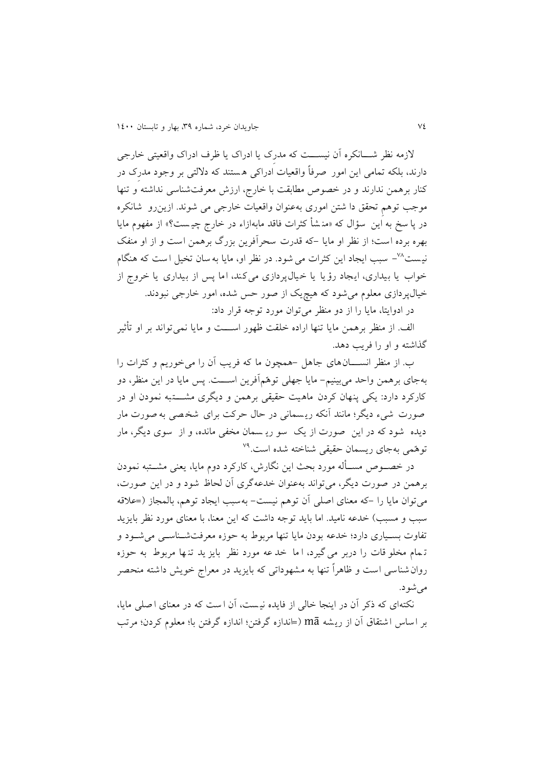لازمه نظر شـــانکره آن نیســـت که مدرِک یا ادراک یا ظرف ادراک واقعیتی خارجی دارند، بلکه تمامی این امور صرفاً واقعیات ادراکی هستند که دلالتی بر وجود مدرک در کنار برهمن ندارند و در خصوص مطابقت با خارج، ارزش معرفتشناسی نداشته و تنها موجب توهم تحقق دا شتن اموری به عنوان واقعیات خارجی می شوند. ازین رو شانکره در پا سخ به اين سؤال که «منـشأ کثرات فاقد مابهازاء در خارج چیـست؟» از مفهوم مایا بهره برده است؛ از نظر او مايا -که قدرج سحرآفرين بزر برهمن است و از او منفک نيست<sup>7⁄4</sup>– سبب ايجاد اين کثرات می شود. در نظر او، مايا به سان تخيل ا ست که هنگام خواب يا بيداری، ايجاد رؤيا يا خيال پردازی می کند، اما پس از بيداری يا خروج از خیال پر دازی معلوم می شود که هیچ یک از صور حس شده، امور خارجی نبودند.

در ادوايتا، مايا را از دو منظر میتوان مورد توجه قرار داد:

الف. از منظر برهمن مايا تنها اراده خلقت ظهور اســـت و مايا نمی تواند بر او تأثیر گذاشته و او را فريب دهد.

 از منظر انسالالالانهای جاهل -همچون ما که فريف آن را می خوريم و کثراج را به جای بر همن واحد می بینیم- مايا جهلی توهّمآفرين اســـت. پس مايا در اين منظر، دو کارکرد دارد: يکي پنهان کردن ماهيت حقيقی برهمن و ديگری مشــــتبه نمودن او در صورت شیء دیگر؛ مانند آنکه ریسمانی در حال حرکت برای شخصی به صورت مار ديده شود که در اين صورت از يک سو ري سمان مخفی مانده، و از سوی ديگر، مار نوهمی بهجای ریسمان حقیقی شناخته شده است.<sup>۷۹</sup>

در خصــوص مســأله مورد بحث اين نگارش، کارکرد دوم مايا، يعني مشــتبه نمودن برهمن در صورت ديگر، می تواند بهعنوان خدعهگری آن لحاظ شود و در اين صورت، میتوان مايا را -که معنای اصلي آن توهم نيست- بهسبب ايجاد توهم، بالمجاز (=علاقه سبب و مسبب) خدعه نامید. اما بايد توجه داشت که اين معنا، با معنای مورد نظر بايزيد تفاوت بسـياری دارد؛ خدعه بودن مايا تنها مربوط به حوزه معرفتشـناسـی می شـود و تـمام مخلو قات را دربر می گیرد، اما خد عه مورد نظر بايز يد تنـها مربوط به حوزه روان شناسی است و ظاهراً تنها به مشهوداتی که بايزيد در معراج خويش داشته منحصر می شو د.

نکتهای که ذکر آن در اينجا خالی از فايده نيست، آن است که در معنای اصلی مايا، بر اساس اشتقاق آن از ريشه mā (=اندازه گرفتن؛ اندازه گرفتن با؛ معلوم کردن؛ مرتب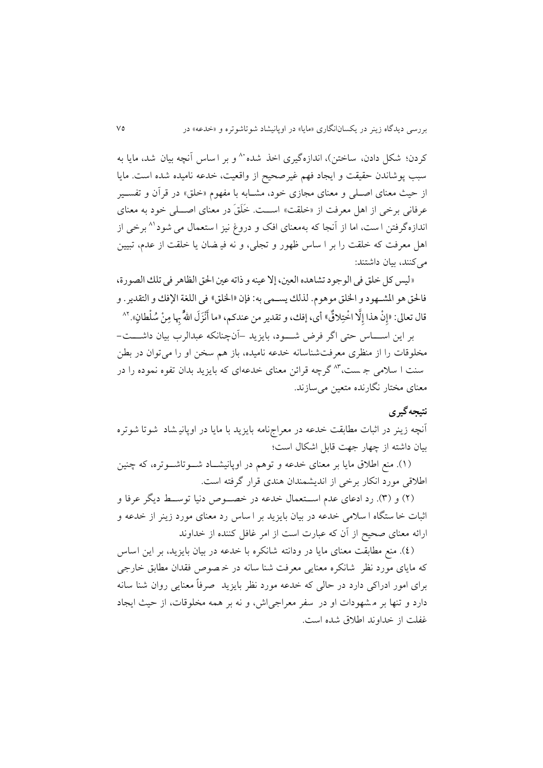كردن؛ شكل دادن، ساختن)، اندازهگیری اخذ شده `` و بر اساس آنچه بیان شد، مایا به سبب پوشاندن حقیقت و ایجاد فهم غیر صحیح از واقعیت، خدعه نامیده شده است. مایا از حیث معنای اصـلی و معنای مجازی خود، مشـابه با مفهوم «خلق» در قرآن و تفسـیر عرفانی برخی از اهل معرفت از «خلقت» اســت. خَلَقَ در معنای اصـــلی خود به معنای اندازهگرفتن ا ست، اما از آنجا که بهمعنای افک و دروغ نیز ا ستعمال می شود<sup>۸۱</sup> برخی از اهل معرفت که خلقت را بر ا ساس ظهور و تجلی، و نه فیـضان یا خلقت از عدم، تبیین می کنند، بیان داشتند:

«ليس كل خلق في الوجود تشاهده العين، إلا عينه و ذاته عين الحق الظاهر في تلك الصورة، فالحق هو المشـهود و الخلق موهوم. لذلك يسـمي به: فإن «الخلق» في اللغة الإفك و التقدير . و ∫ قال تعالى: «إِنْ هذا إِلَّا اخْتِلاقٌ» أي، إفك، و تقدير من عندكم، «ما أَنْزَلَ اللهُّ بِها مِنْ سُلْطانٍ». <sup>٨٢</sup>

بر اين اســـاس حتى اگر فرض شـــود، بايزيد –آنچنانکه عبدالرب بيان داشـــت-مخلوقات را از منظری معرفتشناسانه خدعه نامیده، باز هم سخن او را می توان در بطن سنت ا سلامی جـ ست،"" گرچه قرائن معنای خدعهای که بایزید بدان تفوه نموده را در معنای مختار نگارنده متعین می سازند.

### **نتیجهگیری**

آنچه زينر در اثبات مطابقت خدعه در معراجهامه بايزيد با مايا در اوپانیـشاد شوتا شوتره بیان داشته از چهار جهت قابل اشکال است؛

(۱). منع اطلاق مايا بر معنای خدعه و توهم در اوپانیشـاد شـوتاشـوتره، که چنین اطلاقی مورد انکار برخی از اندیشمندان هندی قرار گرفته است.

(۲) و (۳). رد ادعای عدم اســتعمال خدعه در خصــوص دنیا توســط دیگر عرفا و اثبات خا ستگاه ا سلامی خدعه در بیان بايزيد بر ا ساس رد معنای مورد زينر از خدعه و ارائه معنای صحیح از آن که عبارت است از امر غافل کننده از خداوند

(٤). منع مطابقت معناي مايا در ودانته شانكره با خدعه در بيان بايزيد، بر اين اساس که مايای مورد نظر شانکره معنايی معرفت شنا سانه در خصوص فقدان مطابق خارجی برای امور ادراکی دارد در حالی که خدعه مورد نظر بايزيد ً صرفاً معنايی روان شنا سانه دارد و تنها بر مشهودات او در سفر معراجی اش، و نه بر همه مخلوقات، از حیث ایجاد غفلت از خداوند اطلاق شده است.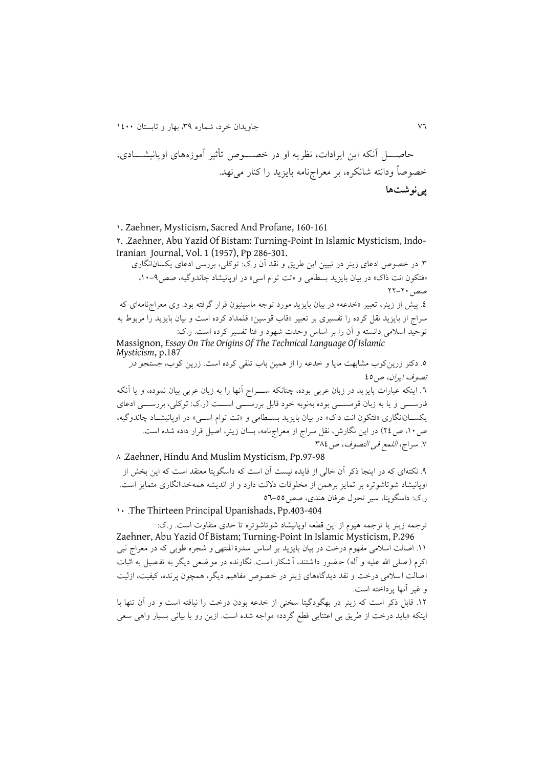ا الالالل آنکه اين ايراداج، نظريه او در خصالالالوع تدثیر آموزه های اوپانیشالالالادی، خصو اً ودانته شانکره، بر م راجنامه بايزيد را کنار مینهد **پینوشتها**

0. Zaehner, Mysticism, Sacred And Profane, 160-161

4. Zaehner, Abu Yazid Of Bistam: Turning-Point In Islamic Mysticism, Indo-Iranian Journal, Vol. 1 (1957), Pp 286-301.

۳. در خصوص ادعای زينر در تبيين اين طريق و نقد آن ر ک: توکلی، بررسی ادعای يکسانانگاری «فتکون انت ذاک» در بیان بایزید بسطامی و «تت توام اسی» در اوپانیشاد چاندوگیه، صص۹-۱۰.  $YY-Y+$ مصر

٤. پیش از زینر، تعبیر «خدعه» در بیان بایزید مورد توجه ماسینیون قرار گرفته بود. وی معراجنامهای که سراج از بايزيد نقل کرده را تفسيری بر تعبير «قاب قوسين» قلمداد کرده است و بيان بايزيد را مربوط به توحید اسلامی دانسته و آن را بر اساس وحدت شهود و فنا تفسیر کرده است. ر.ک:

Massignon, *Essay On The Origins Of The Technical Language Of Islamic Mysticism*, p.187 9. دکتر زرينکوب مشابهت مايا و خدعه را از همين باب تلقى کرده است. زرين کوب، جستج*و در* 

تصوف ايران، ع08 ٦. اينکه عبارات بايزيد در زبان عربی بوده، چنانکه ســــراج آنها را به زبان عربی بيان نموده، و يا آنکه فارســــی و يا به زبان قومســـــی بوده بهنوبه خود قابل بررســــی اســــت (ر.ک: توکلی، بررســــی ادعای

يکســانانگاری «فتکون انت ذاک» در بيان بايزيد بســطامی و «تت توام اســی» در اوپانیشــاد چاندوگیه، ص ١٠، ص٢٤) در اين نگارش، نقل سراج از معراجنامه، بسان زينر، اصيل قرار داده شده است. ٧. سراج، *اللمع في التصوف*، ص ٣٨٤

5 Zaehner, Hindu And Muslim Mysticism, Pp.97-98

۹. نکتهای که در اينجا ذکر آن خالی از فايده نيست آن است که داسگوپتا معتقد است که اين بخش از اوپانيشاد شوتاشوتره بر تمايز برهمن از مخلوقات دلالت دارد و از انديشه همهخداانگاری متمايز است. ر ک: داسگوپتا، سیر تحول عرفان هندی، ص80-88

1. The Thirteen Principal Upanishads, Pp.403-404

ترجمه زينر يا ترجمه هيوم از اين قطعه اوپانيشاد شوتاشوتره تا حدى متفاوت است. ر.ک: Zaehner, Abu Yazid Of Bistam; Turning-Point In Islamic Mysticism, P.296 11. اصالت اسلامی مفهوم درخت در بیان بایزید بر اساس سدرة المنتهی و شجره طوبی که در معراج نبی اکرم ( صلى الله علیه و آله) حضور دا شتند، آ شکار ا ست. نگارنده در مو ضعى ديگر به تفصيل به اثبات اصالت اسلامی درخت و نقد ديدگاههای زينر در خصوص مفاهیم ديگر، همچون پرنده، کیفیت، ازلیت و غیر آنها پرداخته است

04 قابل ذکر است که زينر در بهگودگیتا سخنی از خدعه بودن درخت را نیافته است و در آن تنها با اينکه «بايد درخت از طريق بي اعتنايي قطع گردد» مواجه شده است. ازين رو با بياني بسيار واهي سعي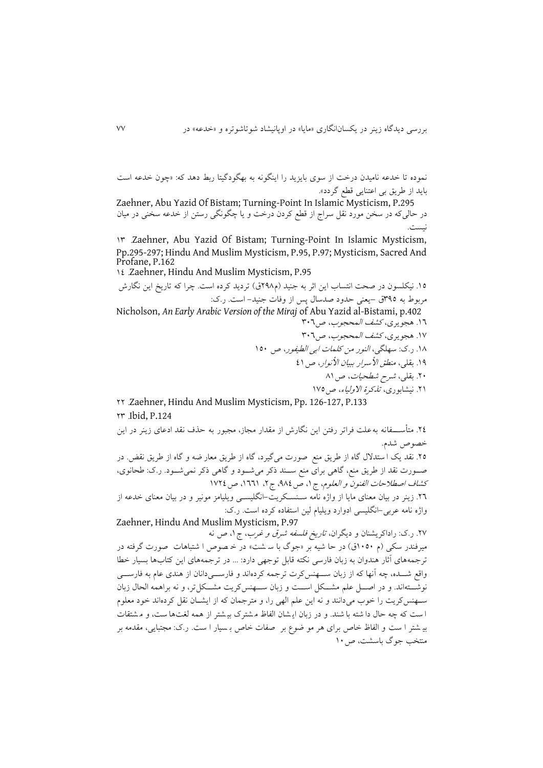نموده تا خدعه نامیدن درخت از سوی بايزيد را اينگونه به بهگودگیتا ربط دهد که: »چون خدعه است بايد از طريق بی اعتنايی ققع گردد«

Zaehner, Abu Yazid Of Bistam; Turning-Point In Islamic Mysticism, P.295 در حالیکه در سخن مورد نقل سراج از قطع کردن درخت و یا چگونگی رستن از خدعه سخنی در میان نیست

09 Zaehner, Abu Yazid Of Bistam; Turning-Point In Islamic Mysticism, Pp.295-297; Hindu And Muslim Mysticism, P.95, P.97; Mysticism, Sacred And Profane, P.162

00 Zaehner, Hindu And Muslim Mysticism, P.95

10. نيکلسون در صحت انتساب اين اثر به جنيد (م٢٩٨ق) ترديد کرده است. چرا که تاريخ اين نگارش مربوط به ٣٩٥ق –يعني حدود صدسال پس از وفات جنید- است. رک:

Nicholson, *An Early Arabic Version of the Miraj* of Abu Yazid al-Bistami, p.402 ١٦. هجويري، *کشف المحجوب*، ص٢٠٦

> ١٧. هجويري، *كشف المحجوب*، ص٣٠٦ 05 ر ک: سهلگی، النور من کلماج ابی القیفور، ع 081

03 بالی، منقق األسرار ب یان األنوار، ع00 41 بالی، شرد شقحیاج، ع50

۲۱. نیشابوری، *تذکرهٔ الاولیاء*، ص۱۷۵

44 Zaehner, Hindu And Muslim Mysticism, Pp. 126-127, P.133 49 Ibid, P.124

٢٤. متأســــفانه به علت فراتر رفتن اين نگارش از مقدار مجاز، مجبور به حذف نقد ادعای زينر در اين خصوص شدم.

٢٥. نقد يک ا ستدلال گاه از طريق منع صورت میگيرد، گاه از طريق معار ضه و گاه از طريق نقض. در صــورت نقد از طريق منع، گاهی برای منع ســند ذکر میشــود و گاهی ذکر نمیشــود. ر ک: طحانوی، كشاف اصطلاحات الفنون و العلوم، ج ١، ص ٩٨٤، ج ٢، ١٦٦١، ص ١٧٢٤ +۲. زينر در بيان معنای مايا از واژه نامه سـنسـكريت-انگليســي ويليامز مونير و در بيان معنای خدعه از

واژه نامه عربی-انگلیسی ادوارد ویلیام لین استفاده کرده است. ر ک:

Zaehner, Hindu And Muslim Mysticism, P.97 ۲۷. ر.ک: راداکريشنان و ديگران، *تاريخ فلسفه شرق و غرب*، ج۱، ص نه

میرفندر سکی (م ۱**۰**۵۰ق) در حا شیه بر «جوگ با سـ شت» در خـ صوص ا شتباهات صورت گرفته در ترجمههای آثار هندوان به زبان فارسی نکته قابل توجهی دارد: ... در ترجمههای اين کتابها بسيار خطا واقع شـــده، چه آنها که از زبان ســـهنس کرت ترجمه کردهاند و فارســـی دانان از هندی عام به فارســـی نوشــتهاند. و در اصـــل علم مشـــکل اســـت و زبان ســـهنس2ريت مشـــکل تر، و نه براهمه الحال زبان سـهنسکريت را خوب میدانند و نه اين علم الهی را، و مترجمان که از ايشــان نقل کردهاند خود معلوم ا ست که چه حال دا شته با شند. و در زبان اي شان الفاظ مشترک بي شتر از همه لغتها ست، و مشتقات بی شتر ا ست و الفاظ خاص برای هر مو ضوع بر صفات خاص بـ سیار ا ست. ر.ک: مجتبایی، مقدمه بر منتخب جو گ باسشت، ص ۱۰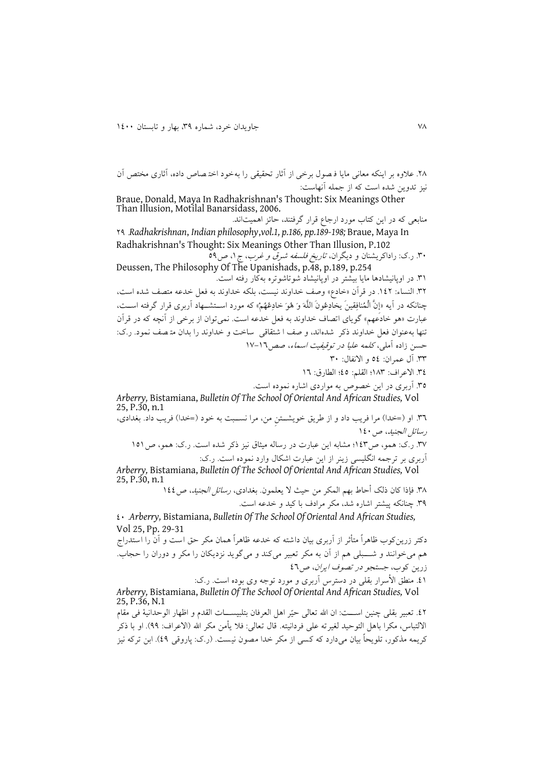٢٨. علاوه بر اينکه معانی مايا فـصول برخی از آثار تحقيقی را بهخود اختـصاص داده، آثاری مختص آن نیز تدوين شده است که از جمله آنهاست:

Braue, Donald, Maya In Radhakrishnan's Thought: Six Meanings Other Than Illusion, Motilal Banarsidass, 2006.

منابعی که در اين کتاب مورد ارجاع قرار گرفتند، حائز اهميتاند. 43 *Radhakrishnan*, *Indian philosophy*,*vol.1, p.186, pp.189-198;* Braue, Maya In Radhakrishnan's Thought: Six Meanings Other Than Illusion, P.102

۳۰. ر.ک: راداکريشنان و ديگران، *تاريخ فلسفه شرق و غرب*، ج ۱، ص۵۹ Deussen, The Philosophy Of The Upanishads, p.48, p.189, p.254

90 در اوپانیشادها مايا بیشتر در اوپانیشاد شوتاشوتره بهکار رفته است 94 النساء: 004 در قرآن »خادع« و ف خداوند نیست، بلکه خداوند به ف ل خدعه متصف شده است، چنانکه در آيه »إِنَّ الْمُنافِاینَ يخادِعُونَ اللَّهَ وَ هُوَ خادِعُهُمْ« که مورد اسالالتشالالهاد آربری قرار گرفته اسالالت، عبارت «هو خادعهم» گوياي اتصاف خداوند به فعل خدعه است. نمی توان از برخی از آنچه که در قرآن تنها به عنوان فعل خداوند ذکر شدهاند، و صف ا شتقاقی ساخت و خداوند را بدان متصف نمود. رک: حسن زاده آملی، کلمه علیا در توقیفیت اسماء، صص ١٦-١٧

99 آل عمران: 80 و االنفال: 91

٣٤. الاعراف: ١٨٣؛ القلم: ٤٥؛ الطارق: ١٦

۳۵. آربری در اين خصوص به مواردی اشاره نموده است.

*Arberry,* Bistamiana, *Bulletin Of The School Of Oriental And African Studies,* Vol 25, P.30, n.1

٣٦. او (=خدا) مرا فريب داد و از طريق خويشـتن من، مرا نسـبت به خود (=خدا) فريب داد. بغدادي، رسائل الجنید، ص ۱٤۰ ٣٧. ر ک: همو، ص١٤٣؛ مشابه اين عبارت در رساله ميثاق نيز ذکر شده است. ر ک: همو، ص ١٥١ آربری بر ترجمه انگلیسی زينر از اين عبارت اشکال وارد نموده است. ر ک:

*Arberry,* Bistamiana, *Bulletin Of The School Of Oriental And African Studies,* Vol 25, P.30, n.1

٣٨. فإذا كان ذلك أحاط بهم المكر من حيث لا يعلمون. بغدادي، *رسائل الجنيد، ص ١٤٤* 93 چنانکه پیشتر اشاره شد، مکر مرادف با کید و خدعه است

01 *Arberry,* Bistamiana, *Bulletin Of The School Of Oriental And African Studies,* Vol 25, Pp. 29-31

دکتر زرينکو خاهراً متأثر از آربری بيان داشته که خدعه ظاهراً همان مکر حق است و آن را استدراج هم می خوانند و شـــبلی هم از آن به مکر تعبیر می کند و می گوید نزدیکان را مکر و دوران را حجاب. زرين كوب، جستجو در تصوف ايران، ص73

01. منطق الأسرار بقلی در دسترس آربری و مورد توجه وی بوده است. ر ک: *Arberry,* Bistamiana, *Bulletin Of The School Of Oriental And African Studies,* Vol 25, P.36, N.1 ٤٢. تعبير بقلي چنين اســت: ان الله تعالى حيّر اهل العرفان بتلبيســـات القدم و اظهار الوحدانية في مقام الالتباس، مکرا باهل التوحید لغیر ته علی فردانیته. قال تعالی: فلا یأمن مکر الله (الاعراف: ٩٩). او با ذکر

کريمه مذکور، تلويحاً بيان ميدارد که کسی از مکر خدا مصون نيست. (ر.ک: پاروقی ٤٩). ابن ترکه نيز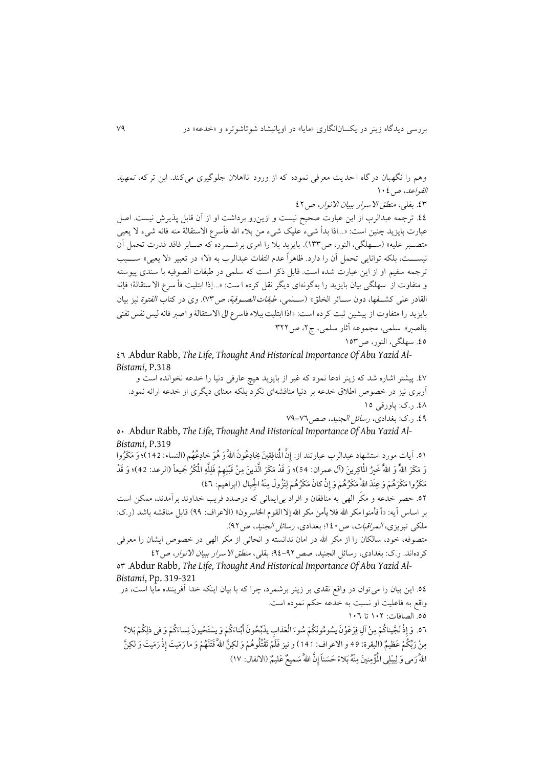وهم را نگهبان در گاه احدیت معرفی نموده که از ورود نااهلان جلوگیری می کند. ابن تر که، تمهید القواعل، ص ١٠٤ ٤٣. بقلی، *منطق الاسرار ببيان الانواد، ص*٤٢ ٤٤. ترجمه عبدالرب از اين عبارت صحيح نيست و ازينرو برداشت او از آن قابل پذيرش نيست. اصل عبارت بايزيد چنين است: «...اذا بدأ شيء عليک شيء من بلاء الله فأسرع الاستقالهٔ منه فانه شيء لا يعيي متصبر عليه» (سـهلگي، النور، ص١٣٣). بايزيد بلا را امري برشـمرده که صـابر فاقد قدرت تحمل آن نیســـت، بلکه توانایی تحمل آن را دارد. ظاهراً عدم التفات عبدالرب به «لا» در تعبیر «لا یعیی» ســــبب ترجمه سقیم او از این عبارت شده است. قابل ذکر است که سلمی در طبقات الصوفیه با سندی پیوسته و متفاوت از سهلگی بیان بايزيد را به گونهای ديگر نقل کرده ا ست: «...إذا ابتليت فأ سرع الا ستقالهٔ؛ فإنه القادر على كشـفها، دون سـائر الخلق» (سـلمى، *طبقات الصـوفية، ص*٧٣). وى در كتاب *الفتوة* نيز بيان بايزيد را متفاوت از پیشین ثبت كرده است: «اذا ابتليت ببلاء فاسرع الى الاستقالة و اصبر فانه لیس نفس تفنى بالصبر». سلمی، مجموعه آثار سلمی، ج ۲، ص ۳۲۲ 08 سهلگی، النور، ع089

00 Abdur Rabb, *The Life, Thought And Historical Importance Of Abu Yazid Al-Bistami*, P.318

07 پیشتر اشاره شد که زينر ادعا نمود که غیر از بايزيد هیچ عارفی دنیا را خدعه نخوانده است و آربری نیز در خصوص اطلاق خدعه بر دنیا مناقشهای نکرد بلکه معنای دیگری از خدعه ارائه نمود. 05 ر ک: پاورقی 08

04. ر.ک: بغدادی، ر*سائل الجنید*، صص17-79

81 Abdur Rabb, *The Life, Thought And Historical Importance Of Abu Yazid Al-Bistami*, P.319

٥١. آيات مورد استشهاد عبدالرب عبارتند از: إِنَّ الْمُنافِقِينَ يُخادِعُونَ اللَّهَ وَ هُوَ خادِعُهُم (النساء: 142)؛ وَ مَكَرُوا وَ مَكَرَ اللهُ ۖ فَنِيرُ الْمَاكِرِينَ (آل عمران: 54)؛ وَ قَدْ مَكَرَ الَّذينَ مِنْ قَبْلِهِمْ فَلِلَّهِ الْمُكْرُ جَميعاً (الرعد: 42)؛ وَ قَدْ مَکَرُواْ مَکْرَهُمْ وَ عِنْدَ اللهَّ مَکْرُهُمْ وَ إِنْ كَانَ مَکْرُهُمْ لِتَزُولَ مِنْهُ الْجِبال (ابراهیم: ٤٦)

84 صر خدعه و مکر الهی به منافاان و افراد بیايمانی که در دد فريف خداوند برآمدند، ممکن است بر اساس آيه: «أ فأمنوا مكر الله فلا يأمن مكر الله إلا القوم الخاسرون» (الاعراف: ٩٩) قابل مناقشه باشد (ر.ک: ملکی تبریزی، *المراقبات*، ص ۱٤۰؛ بغدادی، *رسائل الجنید*، ص ۹۲). متصوفه، خود، سالکان را از مکر الله در امان ندانسته و انحائی از مکر الهی در خصوص ايشان را معرفی

کردهاند. ر.ک: بغدادی، رسائل الجنید، صص ٩٢-٩٤؛ بقلی، *منطق الاسرار ببیان الانوار، ص ٤٢* 

89 Abdur Rabb, *The Life, Thought And Historical Importance Of Abu Yazid Al-Bistami*, Pp. 319-321

80 اين بیان را میتوان در واقع نادی بر زينر برشمرد، چرا که با بیان اينکه خدا آفريننده مايا است، در واقع به فاعلیت او نسبت به خدعه حکم نموده است. 88 الصافاج: 014 تا 010 ٥٦. وَ إِذْ نَجَّيناكُمْ مِنْ آلِ فِرْعَوْنَ يسُومُونَكُمْ سُوءَ الْعَذابِ يذَبَّحُونَ أَبْناءَكُمْ وَ يسْتَحْيونَ نِساءَكُمْ وَ في ذلِكُمْ بَلاءٌ مِنْ رَبِّكُمْ عَظيمٌ (البقرة: 49 و الاعراف: 141) و نيز فَلَمْ تَقْتُلُوهُمْ وَ لكِنَّ اللهَّ قَتَلَهُمْ وَ ما رَمَيتَ إِذْ رَمَيتَ وَ لكِنَّ اللَّهَ رَمى وَ لِيبْلِىٰ الْمُؤْمِنِينَ مِنْهُ بَلاءً حَسَناً إِنَّ اللَّهَ سَميعٌ عَليمٌ (الانفال: ١٧)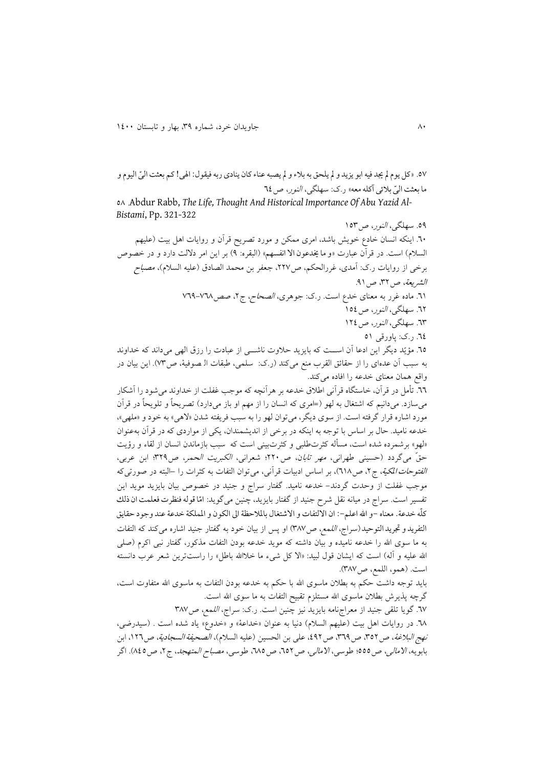۰۵۷ «کل يوم لم يجد فيه ابو يزيد و لم يلحق به بلاء و لم يصبه عناء کان ينادي ربه فيقول: الهي! کم بعثت اليّ اليوم و ما بعثت اليّ بلائي آكله معه» ر.ک: سهلگي، *النور، ص ٢٤* 

85 Abdur Rabb, *The Life, Thought And Historical Importance Of Abu Yazid Al-Bistami*, Pp. 321-322

83 سهلگی، النور، ع089 01 اينکه انسان خادع خويش باشد، امری ممکن و مورد تصريح قرآن و رواياج اهل بیت )علیهم السلام) است. در قرآن عبارت «و ما يخدعون الا انفسهم» (البقره: ٩) بر اين امر دلالت دارد و در خصوص برخی از روايات ر ک: آمدی، غررالحکم، ص۲۲۷، جعفر بن محمد الصادق (علیه السلام)، مصب*اح* الشريعة، ص ٣٢، ص ٩١. 71. ماده غرر به معنای خدع است. ر.ک: جوهری، *الصحاح، ج*۲، صص۷٦٨-٧٦٩ ٦٢. سهلگی، *النو*ر، ص ٥٤ ٦٣. سهلگی، *النور*، ص ١٢٤ 00 ر ک: پاورقی 80 10. مؤيّد ديگر اين ادعا آن اســت که بايزيد حلاوت ناشـــی از عبادت را رزق الهی می داند که خداوند به سبب آن عدهای را از حقائق القرب منع میکند (ر ک: سلمی، طبقات الـ صوفیهٔ، ص٣٧). این بیان در واقع همان معنای خدعه را افاده میکند. ٦٦. تأمل در قرآن، خاستگاه قرآنی اطلاق خدعه بر هرآنچه که موجب غفلت از خداوند می شود را آشکار می سازد. میدانیم که اشتغال به لهو (=امری که انسان را از مهم او باز میدارد) تصريحاً و تلويحاً در قرآن مورد اشاره قرار گرفته است. از سوی ديگر، میتوان لهو را به سبب فريفته شدن «لاهي» به خود و «ملهي»، خدعه نامید. حال بر اساس با توجه به اينکه در برخی از انديشمندان، يکی از مواردی که در قرآن بهعنوان «لهو» برشمرده شده است، مسأله کثرتطلبی و کثرتبینی است که سبب بازماندن انسان از لقاء و رؤيت حقّ میگردد (حسینی طهرانی، *مهر تابا*ن، ص۲۲۰؛ شعرانی، *الکبریت الحمر*، ص۳۲۹؛ ابن عربی، ا*لفتوحات المکیة*، ج۲، ص٦١٨)، بر اساس ادبیات قرآنی، میتوان التفات به کثرات را –البته در صورتیکه موجب غفلت از وحدت گردند- خدعه نامید. گفتار سراج و جنید در خصوص بیان بایزید موید این نفسیر است. سراج در میانه نقل شرح جنید از گفتار بایزید. چنین میگوید: امّا قوله فنظرت فعلمت ان ذلك كلّه خدعة. معناه -و الله اعلم-: ان الالتفات و الاشتغال بالملاحظة الى الكون و المملكة خدعة عند وجو د حقايق التفرید و تجرید التوحید (سراج، *اللمع، ص*۳۸۷) او پس از بیان خود به گفتار جنید اشاره میکند که التفات به ما سوی الله را خدعه نامیده و بیان داشته که موید خدعه بودن التفات مذکور، گفتار نبی اکرم (صلی الله عليه و آله) است که ايشان قول لبيد: «الا کل شيء ما خلاالله باطل» را راستترين شعر عرب دانسته است. (همو، اللمع، ص٣٨٧). بايد توجه داشت حكم به بطلان ماسوی الله با حكم به خدعه بودن التفات به ماسوی الله متفاوت است، گرچه پذيرش بطلان ماسوی الله مستلزم تقبيح التفات به ما سوی الله است. ٦٧. گويا تلقى جنيد از معراجنامه بايزيد نيز چنين است. ر.ک: سراج، *اللمع، ص*٣٨٧ ٦٨. در روايات اهل بيت (عليهم السلام) دنيا به عنوان «خداعة» و «خدوع» ياد شده است . (سيدرضي، نهج *البلاغة*، ص ٣٥٢، ص ٣٦٩، ص ٤٩٢، على بن الحسين (عليه السلام)، *الصحيفة السجادية*، ص ١٢٦، ابن

بابويه، *الامالي*، ص ٥٥٥؛ طوسي، *الامالي*، ص ٦٥٢، ص ٦٨٥، طوسي، *مصباح المتهجد*، ج ٢، ص ٨٤٥). اگر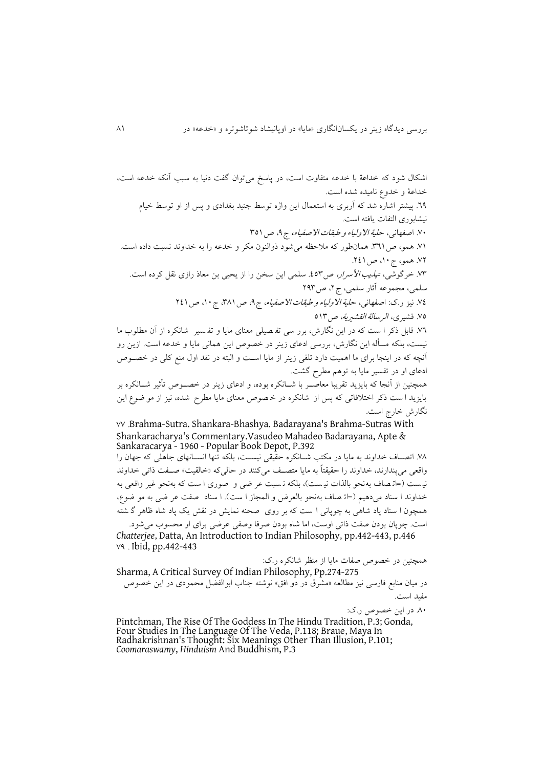اشکال شود که خداعة با خدعه متفاوت است، در پاسخ میتوان گفت دنیا به سبب آنکه خدعه است، خداعة و خدوع نامیده شده است ٦٩. پیشتر اشاره شد که آربری به استعمال این واژه توسط جنید بغدادی و پس از او توسط خیام نيشابوری التفات يافته است. ۷۰. اصفهانی، حلی*ة الاولیاء و طبقات الاصفیاء،* ج۹، ص ۳۵۱ 71. همو، ص٣٦١. همان طور که ملاحظه می شود ذوالنون مکر و خدعه را به خداوند نسبت داده است. 74 همو، ج،01 ع400 ٧٣. خرگوشی، ت*هذيب الأسرار، ص*٥٣. سلمی اين سخن را از يحيی بن معاذ رازی نقل کرده است. سلمی، مجموعه آثار سلمی، ج۲، ص۲۹۳ 7٤. نیز ر.ک: اصفهانی، ح*لیة الاولیاء و طبقات الاصفیاء*، ج ٩، ص ٣٨١، ج ١٠، ص ٢٤١ ۷۵. قشیری، *الرسالة القشیریة*، ص<sup>61۳</sup> ٧٦. قابل ذکر ا ست که در اين نگارش، برر سی تف صيلی معنای مايا و تفسير شانکره از آن مطلوب ما نیست، بلکه مسدله اين نگارش، بررسی ادعای زينر در خصوع اين همانی مايا و خدعه است ازين رو آنچه که در اينجا برای ما اهميت دارد تلقى زينر از مايا اسـت و البته در نقد اول منع کلي در خصـوص ادعای او در تفسیر مايا به توهم مقرد گشت همچنین از آنجا که بایزید تقریبا معاصـر با شــانکره بوده، و ادعای زینر در خصــوص تأثیر شــانکره بر بايزيد ا ست ذکر اختلافاتی که پس از شانکره در خمصوص معنای مايا مطرح شده، نيز از مو ضوع اين نگارش خارج است 77 Brahma-Sutra. Shankara-Bhashya. Badarayana's Brahma-Sutras With Shankaracharya's Commentary.Vasudeo Mahadeo Badarayana, Apte & Sankaracarya - 1960 - Popular Book Depot, P.392 ۷۸ اتصــاف خداوند به مايا در مکتب شــانکره حقّيقی نيســت، بلکه تنها انســانهای جاهلی که جهان را

واقعی می پندارند، خداوند را حقیقتاً به مایا متصـف می کنند در حالی که «خالقیت» صـفت ذاتی خداوند نیست (=اتهصاف به نحو بالذات نیست)، بلکه نسبت عر ضی و صوری ا ست که به نحو غیر واقعی به خداوند ا سناد می دهیم (=ات صاف به نحو بالعرض و المجاز ا ست). ا سناد صفت عر ضی به مو ضوع، همچون ا سناد پاد شاهی به چوپانی ا ست که بر روی حنه نمايش در ناش يک پاد شاه ظاهر گ شته است. چوپان بودن صفت ذاتی اوست، اما شاه بودن صرفا وصفی عرضی برای او محسوب میشود.

*Chatterjee*, Datta, An Introduction to Indian Philosophy, pp.442-443, p.446 73 Ibid, pp.442-443

همچنین در خصوص صفات مايا از منظر شانکره ر ک: Sharma, A Critical Survey Of Indian Philosophy, Pp.274-275 در میان منابع فارسی نیز مطالعه «مشرق دُر دو افق» نوشته جناب ابوالفصل محمودی در این خصوص مفید است

۸۰ در اين خصوص ر.ک:

Pintchman, The Rise Of The Goddess In The Hindu Tradition, P.3; Gonda, Four Studies In The Language Of The Veda, P.118; Braue, Maya In Radhakrishnan's Thought: Six Meanings Other Than Illusion, P.101; *Coomaraswamy*, *Hinduism* And Buddhism, P.3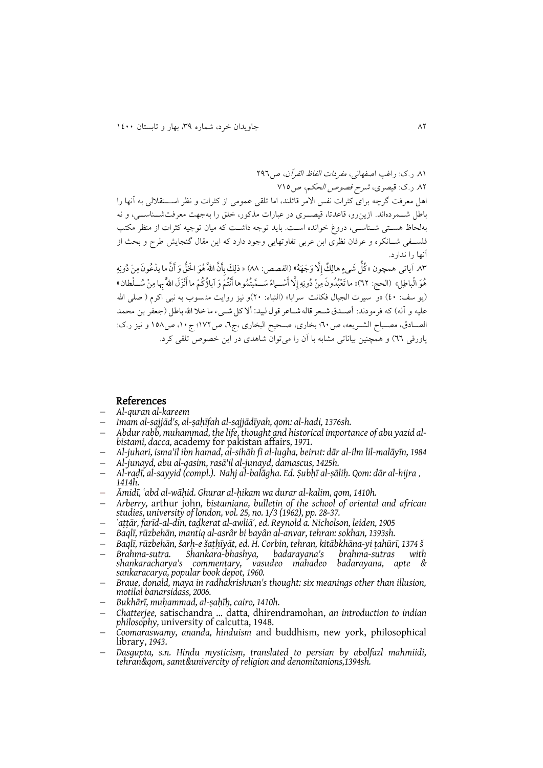۸۱. ر ک: راغب اصفهانی، *مفردات الفاظ القرآن*، ص ۲۹۶ ۸۲ ر.ک: قیصری، *شرح فصوص الحکم، ص*710 اهل معرفت گرچه برای کثرات نفس الامر قائلند، اما تلقی عمومی از کثرات و نظر اســـتقلالی به آنها را باطل شــمردهاند. ازين رو، قاعدتا، قیصــری در عبارات مذکور، خلق را بهجهت معرفتشــناســي، و نه بهلحاظ هستی شـناسـی، دروغ خوانده اسـت. بايد توجه داشـت که ميان توجيه کثرات از منظر مکتب فلسـفی شــانکره و عرفان نظری ابن عربی تفاوتهايی وجود دارد که اين مقال گنجايش طرح و بحث از آنها را ندارد ۸۳ آياتى همچون «كُلُّ شَىءٍ هالِكٌ إِلَّا وَجْهَهُ» (القصص: ۸۸) « ذلِكَ بِأَنَّ اللهَّ هُوَ الْحَقُّ وَ أَنَّ ما يدْعُونَ مِنْ دُونِهِ هُوَ الْباطِلَ» (الحج: ٦٢)« ما تَعْبُدُونَ مِنْ دُونِهِ إِلَّا أَسْــهاءً سَــعَّيتُمُوها أَنْتُمْ وَ آباؤُكُمْ ما أَنْزَلَ اللهُّ بِها مِنْ سُــلْطان » (يو سف: ٤٠) «و سيرت الجبال فکانت سرَّابا» (النباء: ٢٠)و نيز روايت منسَّوب به نبي اَکرم ( صلى الله علیه و آله) که فرمودند: أصـدق شـعر قاله شـاعر قول لبید: ألا کل شـیء ما خلا الله باطل (جعفر بن محمد الصـادق، مصـباح الشـريعه، ص٢٠؛ بخاري، صـحيح البخاري ،ج٦، ص١٧٢؛ ج١٠، ص١٥٨ و نيز ر.ك: پاورقی ٦٦) و همچنین بیاناتی مشابه با آن را می توان شاهدی در این خصوص تلقی کرد.

#### References

- *Al-quran al-kareem*
- *Imam al-sajjād's, al-ṣaḥīfah al-sajjādīyah, qom: al-hadi, 1376sh.*
- *Abdur rabb, muhammad, the life, thought and historical importance of abu yazid albistami, dacca,* academy for pakistan affairs*, 1971.*
- *Al-juhari, isma'il ibn hamad, al-sihāh fi al-lugha, beirut: dār al-ilm lil-malāyīn, 1984*
- *Al-junayd, abu al-qasim, rasā'il al-junayd, damascus, 1425h.*
- *Al-raḍī, al-sayyid (compl.). Nahj al-balāgha. Ed. Ṣubḥī al-ṣāliḥ. Qom: dār al-hijra , 1414h.*
- *Āmidī, ʿabd al-wāḥid. Ghurar al-ḥikam wa durar al-kalim, qom, 1410h.*
- *Arberry,* arthur john*, bistamiana, bulletin of the school of oriental and african studies, university of london, vol. 25, no. 1/3 (1962), pp. 28-37.*
- *ʿaṭṭār, farīd-al-dīn, taḏkerat al-awliāʾ, ed. Reynold a. Nicholson, leiden, 1905*
- *Baqlī, rūzbehān, mantiq al-asrâr bi bayân al-anvar, tehran: sokhan, 1393sh.*
- *Baqlī, rūzbehān, šarḥ-e šaṭḥīyāt, ed. H. Corbin, tehran, kitābkhāna-yi ṭahūrī, 1374 š*
- *Brahma-sutra. Shankara-bhashya, badarayana's brahma-sutras with shankaracharya's commentary, vasudeo mahadeo badarayana, apte & sankaracarya, popular book depot, 1960.*
- *Braue, donald, maya in radhakrishnan's thought: six meanings other than illusion, motilal banarsidass, 2006.*
- *Bukhārī, muḥammad, al-ṣaḥīḥ, cairo, 1410h.*
- *Chatterjee,* satischandra … datta*,* dhirendramohan, *an introduction to indian philosophy,* university of calcutta, 1948*.*
- *Coomaraswamy, ananda, hinduism* and buddhism, new york, philosophical library, *1943*.
- *Dasgupta, s.n. Hindu mysticism, translated to persian by abolfazl mahmiidi, tehran&qom, samt&univercity of religion and denomitanions,1394sh.*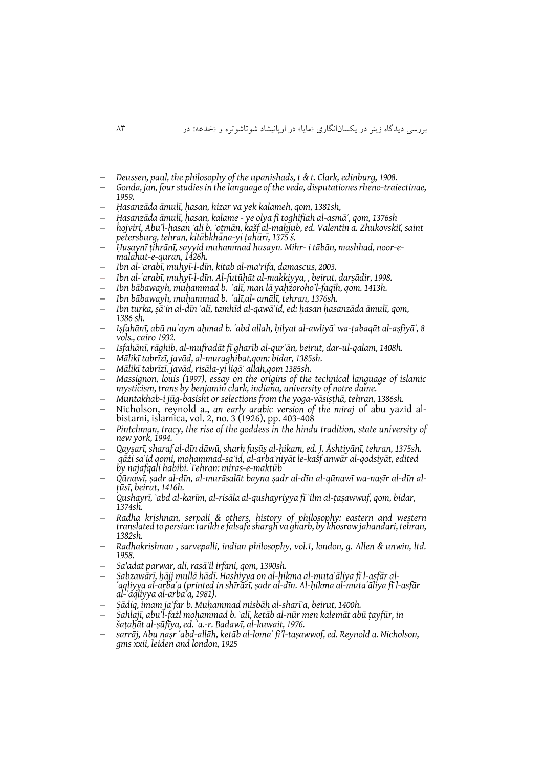- *Deussen, paul, the philosophy of the upanishads, t & t. Clark, edinburg, 1908.*
- *Gonda, jan, four studies in the language of the veda, disputationes rheno-traiectinae, 1959.*
- *Ḥasanzāda āmulī, ḥasan, hizar va yek kalameh, qom, 1381sh,*
- *Ḥasanzāda āmulī, ḥasan, kalame - ye olya fi toghifiah al-asmāʾ, qom, 1376sh*
- *hojviri, Abu'l-ḥasan ʿali b. ʿoṯmān, kašf al-maḥjub, ed. Valentin a. Zhukovskiĭ, saint petersburg, tehran, kitābkhāna-yi ṭahūrī, 1375 š.*
- *Ḥusaynī ṭihrānī, sayyid muhammad husayn. Mihr- i tābān, mashhad, noor-emalahut-e-quran, 1426h.*
- *Ibn al-ʿarabī, muḥyī-l-dīn, kitab al-ma'rifa, damascus, 2003.*
- *Ibn al-ʿarabī, muḥyī-l-dīn. Al-futūḥāt al-makkiyya, , beirut, darṣādir, 1998.*
- *Ibn bābawayh, muḥammad b. ʿalī, man lā yaḥżoroho'l-faqīh, qom. 1413h.*
- *Ibn bābawayh, muḥammad b. ʿalī,al- amālī, tehran, 1376sh.*
- *Ibn turka, ṣāʾin al-dīn ʿalī, tamhīd al-qawāʿid,ed: ḥasan ḥasanzāda āmulī, qom, 1386 sh.*
- *Iṣfahānī, abū nuʿaym aḥmad b. ʿabd allah, ḥilyat al-awliyāʾ wa-ṭabaqāt al-aṣfiyāʾ, 8 vols., cairo 1932.*
- *Isfahānī, rāghib, al-mufradāt fī gharīb al-qurʾān, beirut, dar-ul-qalam, 1408h.*
- *Mālikī tabrīzī, javād, al-muraghibat,qom: bidar, 1385sh.*
- *Mālikī tabrīzī, javād, risāla-yi liqāʾ allah,qom 1385sh.*
- *Massignon, louis (1997), essay on the origins of the technical language of islamic mysticism, trans by benjamin clark, indiana, university of notre dame.*
- *Muntakhab-i jūg-basisht or selections from the yoga-vāsiṣṭhā, tehran, 1386sh.*
- Nicholson, reynold a., *an early arabic version of the miraj* of abu yazid albistami, islamica, vol. 2, no. 3 (1926), pp. 403-408
- *Pintchman, tracy, the rise of the goddess in the hindu tradition, state university of new york, 1994.*
- *Qayṣarī, sharaf al-dīn dāwū, sharḥ fuṣūṣ al-ḥikam, ed. J. Āshtiyānī, tehran, 1375sh.*
- *qāżi saʿid qomi, moḥammad-saʿid, al-arbaʿniyāt le-kašf anwār al-qodsiyāt, edited by najafqali habibi. Tehran: miras-e-maktūb*
- *Qūnawī, ṣadr al-dīn, al-murāsalāt bayna ṣadr al-dīn al-qūnawī wa-naṣīr al-dīn alṭūsī, beirut, 1416h.*
- *Qushayrī, ʿabd al-karīm, al-risāla al-qushayriyya fī ʿilm al-ṭaṣawwuf, qom, bidar, 1374sh.*
- *Radha krishnan, serpali & others, history of philosophy: eastern and western translated to persian: tarikh e falsafe shargh va gharb, by khosrow jahandari, tehran, 1382sh.*
- *Radhakrishnan , sarvepalli, indian philosophy, vol.1, london, g. Allen & unwin, ltd. 1958.*
- *Sa'adat parwar, ali, rasā'il irfani, qom, 1390sh.*
- *Sabzawārī, ḥājj mullā hādī. Hashiyya on al-ḥikma al-mutaʿāliya fī l-asfār al-ʿaqliyya al-arbaʿa (printed in shīrāzī, ṣadr al-dīn. Al-ḥikma al-mutaʿāliya fī l-asfār al-ʿaqliyya al-arbaʿa, 1981).*
- *Ṣādiq, imam jaʿfar b. Muḥammad misbāḥ al-sharīʿa, beirut, 1400h.*
- *Sahlajī, abu'l-fażl moḥammad b. ʿalī, ketāb al-nūr men kalemāt abū ṭayfūr, in šaṭaḥāt al-ṣūfīya, ed. ʿa.-r. Badawī, al-kuwait, 1976.*
- *sarrāj, Abu naṣr ʿabd-allāh, ketāb al-lomaʿ fi'l-taṣawwof,ed. Reynold a. Nicholson, gms xxii, leiden and london, 1925*